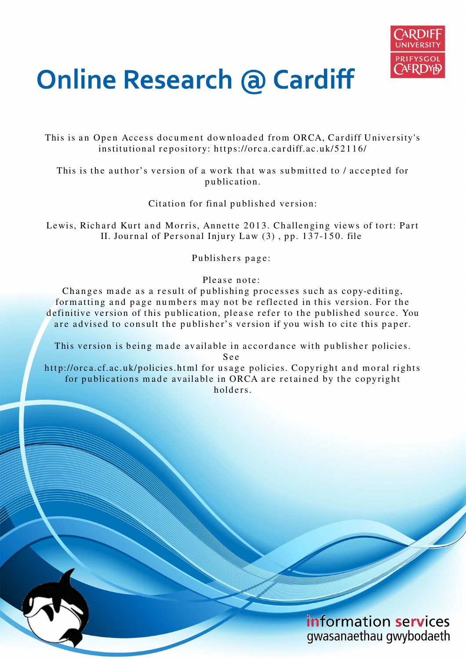

# **Online Research @ Cardiff**

This is an Open Access document downloaded from ORCA, Cardiff University's institutional repository: https://orca.cardiff.ac.uk/52116/

This is the author's version of a work that was submitted to / accepted for p u blication.

Citation for final published version:

Lewis, Richard Kurt and Morris, Annette 2013. Challenging views of tort: Part II. Journal of Personal Injury Law  $(3)$ , pp. 137-150. file

Publishers page:

Please note:

Changes made as a result of publishing processes such as copy-editing, formatting and page numbers may not be reflected in this version. For the definitive version of this publication, please refer to the published source. You are advised to consult the publisher's version if you wish to cite this paper.

This version is being made available in accordance with publisher policies. S e e

http://orca.cf.ac.uk/policies.html for usage policies. Copyright and moral rights for publications made available in ORCA are retained by the copyright holders

> information services gwasanaethau gwybodaeth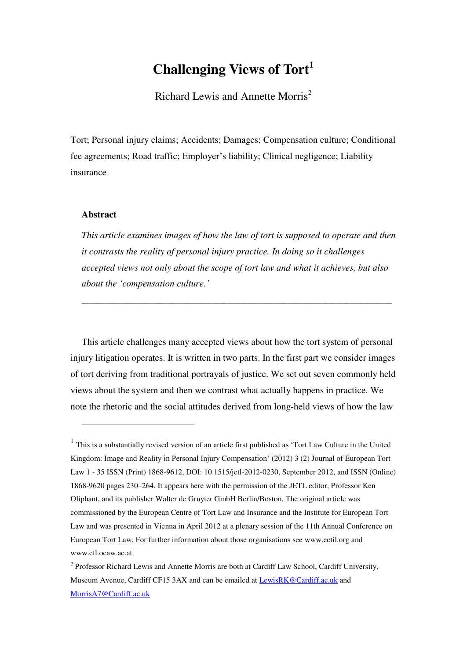## **Challenging Views of Tort<sup>1</sup>**

Richard Lewis and Annette Morris<sup>2</sup>

Tort; Personal injury claims; Accidents; Damages; Compensation culture; Conditional fee agreements; Road traffic; Employer's liability; Clinical negligence; Liability insurance

#### **Abstract**

 $\overline{a}$ 

*This article examines images of how the law of tort is supposed to operate and then it contrasts the reality of personal injury practice. In doing so it challenges accepted views not only about the scope of tort law and what it achieves, but also about the 'compensation culture.'*

\_\_\_\_\_\_\_\_\_\_\_\_\_\_\_\_\_\_\_\_\_\_\_\_\_\_\_\_\_\_\_\_\_\_\_\_\_\_\_\_\_\_\_\_\_\_\_\_\_\_\_\_\_\_\_\_\_\_\_\_\_\_\_\_\_\_

This article challenges many accepted views about how the tort system of personal injury litigation operates. It is written in two parts. In the first part we consider images of tort deriving from traditional portrayals of justice. We set out seven commonly held views about the system and then we contrast what actually happens in practice. We note the rhetoric and the social attitudes derived from long-held views of how the law

<sup>&</sup>lt;sup>1</sup> This is a substantially revised version of an article first published as 'Tort Law Culture in the United Kingdom: Image and Reality in Personal Injury Compensation' (2012) 3 (2) Journal of European Tort Law 1 - 35 ISSN (Print) 1868-9612, DOI: [10.1515/jetl-2012-0230,](http://dx.doi.org/10.1515/jetl-2012-0230) September 2012, and ISSN (Online) 1868-9620 pages 230–264. It appears here with the permission of the JETL editor, Professor Ken Oliphant, and its publisher Walter de Gruyter GmbH Berlin/Boston. The original article was commissioned by the European Centre of Tort Law and Insurance and the Institute for European Tort Law and was presented in Vienna in April 2012 at a plenary session of the 11th Annual Conference on European Tort Law. For further information about those organisations se[e www.ectil.org](http://www.ectil.org/) and [www.etl.oeaw.ac.at.](http://www.etl.oeaw.ac.at./)

<sup>&</sup>lt;sup>2</sup> Professor Richard Lewis and Annette Morris are both at Cardiff Law School, Cardiff University, Museum Avenue, Cardiff CF15 3AX and can be emailed at [LewisRK@Cardiff.ac.uk](mailto:LewisRK@Cardiff.ac.uk) and [MorrisA7@Cardiff.ac.uk](mailto:MorrisA7@Cardiff.ac.uk)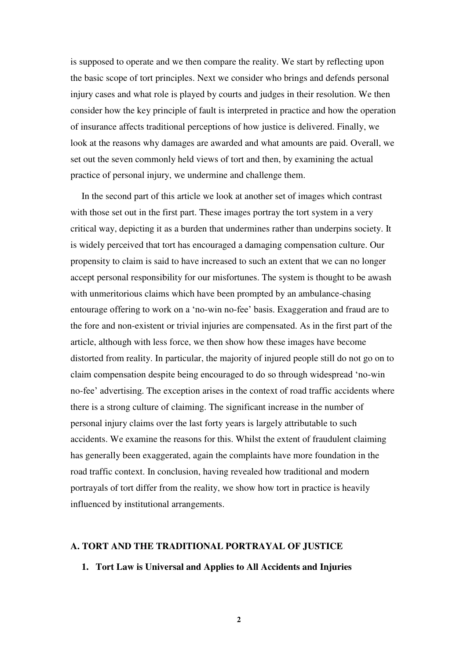is supposed to operate and we then compare the reality. We start by reflecting upon the basic scope of tort principles. Next we consider who brings and defends personal injury cases and what role is played by courts and judges in their resolution. We then consider how the key principle of fault is interpreted in practice and how the operation of insurance affects traditional perceptions of how justice is delivered. Finally, we look at the reasons why damages are awarded and what amounts are paid. Overall, we set out the seven commonly held views of tort and then, by examining the actual practice of personal injury, we undermine and challenge them.

In the second part of this article we look at another set of images which contrast with those set out in the first part. These images portray the tort system in a very critical way, depicting it as a burden that undermines rather than underpins society. It is widely perceived that tort has encouraged a damaging compensation culture. Our propensity to claim is said to have increased to such an extent that we can no longer accept personal responsibility for our misfortunes. The system is thought to be awash with unmeritorious claims which have been prompted by an ambulance-chasing entourage offering to work on a 'no-win no-fee' basis. Exaggeration and fraud are to the fore and non-existent or trivial injuries are compensated. As in the first part of the article, although with less force, we then show how these images have become distorted from reality. In particular, the majority of injured people still do not go on to claim compensation despite being encouraged to do so through widespread 'no-win no-fee' advertising. The exception arises in the context of road traffic accidents where there is a strong culture of claiming. The significant increase in the number of personal injury claims over the last forty years is largely attributable to such accidents. We examine the reasons for this. Whilst the extent of fraudulent claiming has generally been exaggerated, again the complaints have more foundation in the road traffic context. In conclusion, having revealed how traditional and modern portrayals of tort differ from the reality, we show how tort in practice is heavily influenced by institutional arrangements.

#### **A. TORT AND THE TRADITIONAL PORTRAYAL OF JUSTICE**

**1. Tort Law is Universal and Applies to All Accidents and Injuries**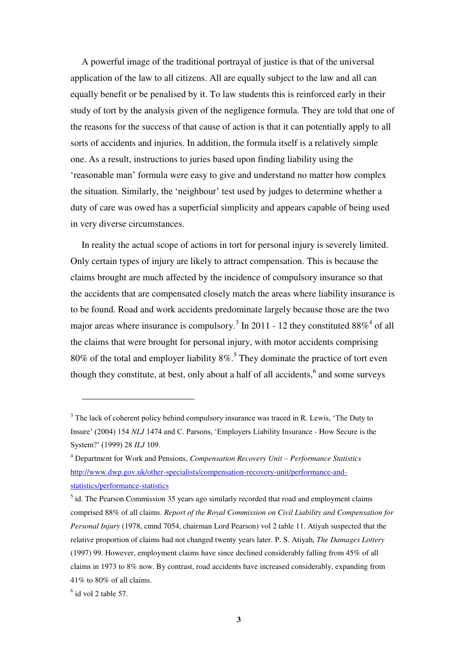A powerful image of the traditional portrayal of justice is that of the universal application of the law to all citizens. All are equally subject to the law and all can equally benefit or be penalised by it. To law students this is reinforced early in their study of tort by the analysis given of the negligence formula. They are told that one of the reasons for the success of that cause of action is that it can potentially apply to all sorts of accidents and injuries. In addition, the formula itself is a relatively simple one. As a result, instructions to juries based upon finding liability using the 'reasonable man' formula were easy to give and understand no matter how complex the situation. Similarly, the 'neighbour' test used by judges to determine whether a duty of care was owed has a superficial simplicity and appears capable of being used in very diverse circumstances.

In reality the actual scope of actions in tort for personal injury is severely limited. Only certain types of injury are likely to attract compensation. This is because the claims brought are much affected by the incidence of compulsory insurance so that the accidents that are compensated closely match the areas where liability insurance is to be found. Road and work accidents predominate largely because those are the two major areas where insurance is compulsory.<sup>3</sup> In 2011 - 12 they constituted  $88\%^4$  of all the claims that were brought for personal injury, with motor accidents comprising  $80\%$  of the total and employer liability  $8\%$ .<sup>5</sup> They dominate the practice of tort even though they constitute, at best, only about a half of all accidents,<sup>6</sup> and some surveys

<sup>&</sup>lt;sup>3</sup> The lack of coherent policy behind compulsory insurance was traced in R. Lewis, 'The Duty to Insure' (2004) 154 *NLJ* 1474 and C. Parsons, 'Employers Liability Insurance - How Secure is the System?' (1999) 28 *ILJ* 109.

<sup>4</sup> Department for Work and Pensions, *Compensation Recovery Unit – Performance Statistics*  [http://www.dwp.gov.uk/other-specialists/compensation-recovery-unit/performance-and](http://www.dwp.gov.uk/other-specialists/compensation-recovery-unit/performance-and-statistics/performance-statistics)[statistics/performance-statistics](http://www.dwp.gov.uk/other-specialists/compensation-recovery-unit/performance-and-statistics/performance-statistics) 

<sup>&</sup>lt;sup>5</sup> id. The Pearson Commission 35 years ago similarly recorded that road and employment claims comprised 88% of all claims. *Report of the Royal Commission on Civil Liability and Compensation for Personal Injury* (1978, cmnd 7054, chairman Lord Pearson) vol 2 table 11. Atiyah suspected that the relative proportion of claims had not changed twenty years later. P. S. Atiyah, *The Damages Lottery* (1997) 99. However, employment claims have since declined considerably falling from 45% of all claims in 1973 to 8% now. By contrast, road accidents have increased considerably, expanding from 41% to 80% of all claims.

 $<sup>6</sup>$  id vol 2 table 57.</sup>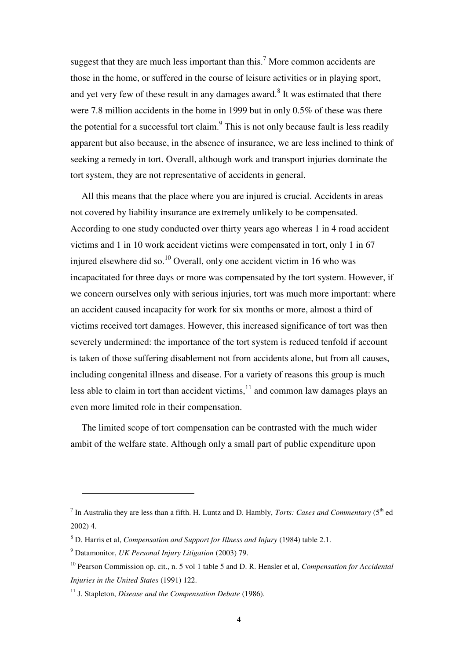suggest that they are much less important than this.<sup>7</sup> More common accidents are those in the home, or suffered in the course of leisure activities or in playing sport, and yet very few of these result in any damages award.<sup>8</sup> It was estimated that there were 7.8 million accidents in the home in 1999 but in only 0.5% of these was there the potential for a successful tort claim. $9$  This is not only because fault is less readily apparent but also because, in the absence of insurance, we are less inclined to think of seeking a remedy in tort. Overall, although work and transport injuries dominate the tort system, they are not representative of accidents in general.

All this means that the place where you are injured is crucial. Accidents in areas not covered by liability insurance are extremely unlikely to be compensated. According to one study conducted over thirty years ago whereas 1 in 4 road accident victims and 1 in 10 work accident victims were compensated in tort, only 1 in 67 injured elsewhere did so.<sup>10</sup> Overall, only one accident victim in 16 who was incapacitated for three days or more was compensated by the tort system. However, if we concern ourselves only with serious injuries, tort was much more important: where an accident caused incapacity for work for six months or more, almost a third of victims received tort damages. However, this increased significance of tort was then severely undermined: the importance of the tort system is reduced tenfold if account is taken of those suffering disablement not from accidents alone, but from all causes, including congenital illness and disease. For a variety of reasons this group is much less able to claim in tort than accident victims, $11$  and common law damages plays an even more limited role in their compensation.

The limited scope of tort compensation can be contrasted with the much wider ambit of the welfare state. Although only a small part of public expenditure upon

<sup>&</sup>lt;sup>7</sup> In Australia they are less than a fifth. H. Luntz and D. Hambly, *Torts: Cases and Commentary* ( $5<sup>th</sup>$  ed 2002) 4.

<sup>8</sup> D. Harris et al, *Compensation and Support for Illness and Injury* (1984) table 2.1.

<sup>9</sup> Datamonitor, *UK Personal Injury Litigation* (2003) 79.

<sup>10</sup> Pearson Commission op. cit., n. 5 vol 1 table 5 and D. R. Hensler et al, *Compensation for Accidental Injuries in the United States* (1991) 122.

<sup>11</sup> J. Stapleton, *Disease and the Compensation Debate* (1986).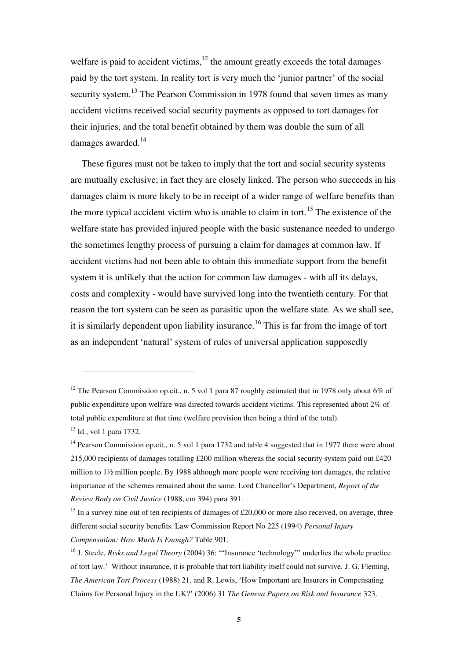welfare is paid to accident victims, $12$  the amount greatly exceeds the total damages paid by the tort system. In reality tort is very much the 'junior partner' of the social security system.<sup>13</sup> The Pearson Commission in 1978 found that seven times as many accident victims received social security payments as opposed to tort damages for their injuries, and the total benefit obtained by them was double the sum of all damages awarded.<sup>14</sup>

These figures must not be taken to imply that the tort and social security systems are mutually exclusive; in fact they are closely linked. The person who succeeds in his damages claim is more likely to be in receipt of a wider range of welfare benefits than the more typical accident victim who is unable to claim in tort.<sup>15</sup> The existence of the welfare state has provided injured people with the basic sustenance needed to undergo the sometimes lengthy process of pursuing a claim for damages at common law. If accident victims had not been able to obtain this immediate support from the benefit system it is unlikely that the action for common law damages - with all its delays, costs and complexity - would have survived long into the twentieth century. For that reason the tort system can be seen as parasitic upon the welfare state. As we shall see, it is similarly dependent upon liability insurance.<sup>16</sup> This is far from the image of tort as an independent 'natural' system of rules of universal application supposedly

<sup>&</sup>lt;sup>12</sup> The Pearson Commission op.cit., n. 5 vol 1 para 87 roughly estimated that in 1978 only about 6% of public expenditure upon welfare was directed towards accident victims. This represented about 2% of total public expenditure at that time (welfare provision then being a third of the total). <sup>13</sup> Id., vol 1 para 1732.

<sup>&</sup>lt;sup>14</sup> Pearson Commission op.cit., n. 5 vol 1 para 1732 and table 4 suggested that in 1977 there were about 215,000 recipients of damages totalling £200 million whereas the social security system paid out £420 million to 1½ million people. By 1988 although more people were receiving tort damages, the relative importance of the schemes remained about the same. Lord Chancellor's Department, *Report of the Review Body on Civil Justice* (1988, cm 394) para 391.

 $15$  In a survey nine out of ten recipients of damages of £20,000 or more also received, on average, three different social security benefits. Law Commission Report No 225 (1994) *Personal Injury Compensation: How Much Is Enough?* Table 901.

<sup>&</sup>lt;sup>16</sup> J. Steele, *Risks and Legal Theory* (2004) 36: "Insurance 'technology'" underlies the whole practice of tort law.' Without insurance, it is probable that tort liability itself could not survive. J. G. Fleming, *The American Tort Process* (1988) 21, and R. Lewis, 'How Important are Insurers in Compensating Claims for Personal Injury in the UK?' (2006) 31 *The Geneva Papers on Risk and Insurance* 323.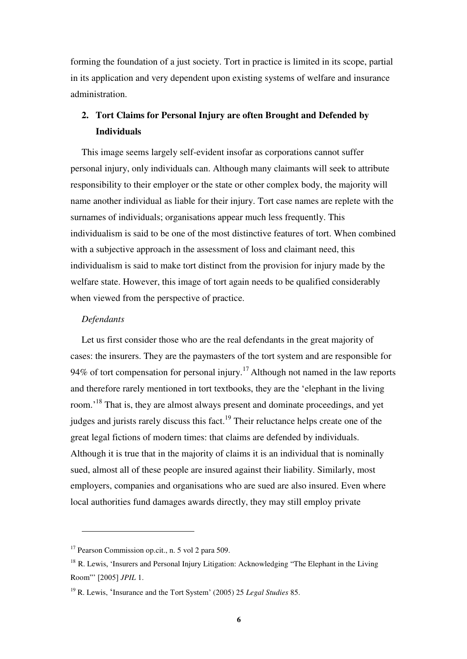forming the foundation of a just society. Tort in practice is limited in its scope, partial in its application and very dependent upon existing systems of welfare and insurance administration.

## **2. Tort Claims for Personal Injury are often Brought and Defended by Individuals**

This image seems largely self-evident insofar as corporations cannot suffer personal injury, only individuals can. Although many claimants will seek to attribute responsibility to their employer or the state or other complex body, the majority will name another individual as liable for their injury. Tort case names are replete with the surnames of individuals; organisations appear much less frequently. This individualism is said to be one of the most distinctive features of tort. When combined with a subjective approach in the assessment of loss and claimant need, this individualism is said to make tort distinct from the provision for injury made by the welfare state. However, this image of tort again needs to be qualified considerably when viewed from the perspective of practice.

#### *Defendants*

 $\overline{a}$ 

Let us first consider those who are the real defendants in the great majority of cases: the insurers. They are the paymasters of the tort system and are responsible for 94% of tort compensation for personal injury.<sup>17</sup> Although not named in the law reports and therefore rarely mentioned in tort textbooks, they are the 'elephant in the living room.<sup>18</sup> That is, they are almost always present and dominate proceedings, and yet judges and jurists rarely discuss this fact.<sup>19</sup> Their reluctance helps create one of the great legal fictions of modern times: that claims are defended by individuals. Although it is true that in the majority of claims it is an individual that is nominally sued, almost all of these people are insured against their liability. Similarly, most employers, companies and organisations who are sued are also insured. Even where local authorities fund damages awards directly, they may still employ private

<sup>&</sup>lt;sup>17</sup> Pearson Commission op.cit., n. 5 vol 2 para 509.

<sup>&</sup>lt;sup>18</sup> R. Lewis, 'Insurers and Personal Injury Litigation: Acknowledging "The Elephant in the Living Room"' [2005] *JPIL* 1.

<sup>19</sup> R. Lewis, 'Insurance and the Tort System' (2005) 25 *Legal Studies* 85.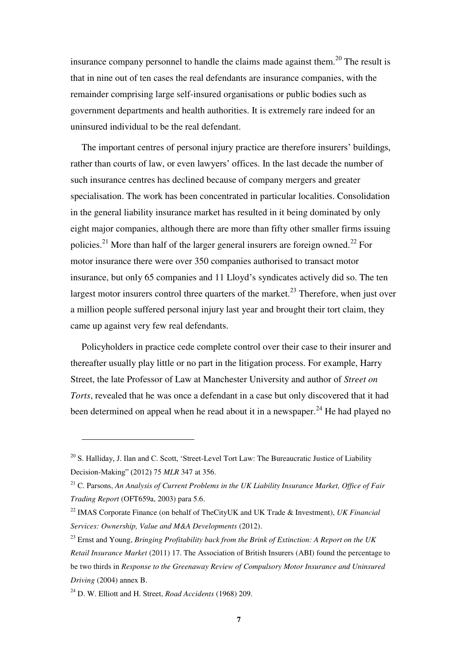insurance company personnel to handle the claims made against them.<sup>20</sup> The result is that in nine out of ten cases the real defendants are insurance companies, with the remainder comprising large self-insured organisations or public bodies such as government departments and health authorities. It is extremely rare indeed for an uninsured individual to be the real defendant.

The important centres of personal injury practice are therefore insurers' buildings, rather than courts of law, or even lawyers' offices. In the last decade the number of such insurance centres has declined because of company mergers and greater specialisation. The work has been concentrated in particular localities. Consolidation in the general liability insurance market has resulted in it being dominated by only eight major companies, although there are more than fifty other smaller firms issuing policies.<sup>21</sup> More than half of the larger general insurers are foreign owned.<sup>22</sup> For motor insurance there were over 350 companies authorised to transact motor insurance, but only 65 companies and 11 Lloyd's syndicates actively did so. The ten largest motor insurers control three quarters of the market.<sup>23</sup> Therefore, when just over a million people suffered personal injury last year and brought their tort claim, they came up against very few real defendants.

Policyholders in practice cede complete control over their case to their insurer and thereafter usually play little or no part in the litigation process. For example, Harry Street, the late Professor of Law at Manchester University and author of *Street on Torts*, revealed that he was once a defendant in a case but only discovered that it had been determined on appeal when he read about it in a newspaper.<sup>24</sup> He had played no

<sup>&</sup>lt;sup>20</sup> S. Halliday, J. Ilan and C. Scott, 'Street-Level Tort Law: The Bureaucratic Justice of Liability Decision-Making" (2012) 75 *MLR* 347 at 356.

<sup>21</sup> C. Parsons, *An Analysis of Current Problems in the UK Liability Insurance Market, Office of Fair Trading Report* (OFT659a, 2003) para 5.6.

<sup>22</sup> IMAS Corporate Finance (on behalf of TheCityUK and UK Trade & Investment), *UK Financial Services: Ownership, Value and M&A Developments* (2012).

<sup>23</sup> Ernst and Young, *Bringing Profitability back from the Brink of Extinction: A Report on the UK Retail Insurance Market* (2011) 17. The Association of British Insurers (ABI) found the percentage to be two thirds in *Response to the Greenaway Review of Compulsory Motor Insurance and Uninsured Driving* (2004) annex B.

<sup>24</sup> D. W. Elliott and H. Street, *Road Accidents* (1968) 209.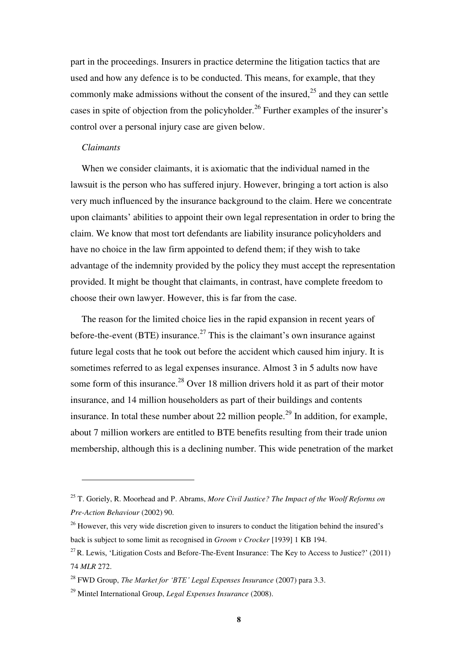part in the proceedings. Insurers in practice determine the litigation tactics that are used and how any defence is to be conducted. This means, for example, that they commonly make admissions without the consent of the insured, $2<sup>5</sup>$  and they can settle cases in spite of objection from the policyholder.<sup>26</sup> Further examples of the insurer's control over a personal injury case are given below.

#### *Claimants*

 $\overline{a}$ 

When we consider claimants, it is axiomatic that the individual named in the lawsuit is the person who has suffered injury. However, bringing a tort action is also very much influenced by the insurance background to the claim. Here we concentrate upon claimants' abilities to appoint their own legal representation in order to bring the claim. We know that most tort defendants are liability insurance policyholders and have no choice in the law firm appointed to defend them; if they wish to take advantage of the indemnity provided by the policy they must accept the representation provided. It might be thought that claimants, in contrast, have complete freedom to choose their own lawyer. However, this is far from the case.

The reason for the limited choice lies in the rapid expansion in recent years of before-the-event (BTE) insurance.<sup>27</sup> This is the claimant's own insurance against future legal costs that he took out before the accident which caused him injury. It is sometimes referred to as legal expenses insurance. Almost 3 in 5 adults now have some form of this insurance.<sup>28</sup> Over 18 million drivers hold it as part of their motor insurance, and 14 million householders as part of their buildings and contents insurance. In total these number about 22 million people.<sup>29</sup> In addition, for example, about 7 million workers are entitled to BTE benefits resulting from their trade union membership, although this is a declining number. This wide penetration of the market

<sup>25</sup> T. Goriely, R. Moorhead and P. Abrams, *More Civil Justice? The Impact of the Woolf Reforms on Pre-Action Behaviour* (2002) 90.

<sup>&</sup>lt;sup>26</sup> However, this very wide discretion given to insurers to conduct the litigation behind the insured's back is subject to some limit as recognised in *Groom v Crocker* [1939] 1 KB 194.

<sup>&</sup>lt;sup>27</sup> R. Lewis, 'Litigation Costs and Before-The-Event Insurance: The Key to Access to Justice?' (2011) 74 *MLR* 272.

<sup>28</sup> FWD Group, *The Market for 'BTE' Legal Expenses Insurance* (2007) para 3.3.

<sup>29</sup> Mintel International Group, *Legal Expenses Insurance* (2008).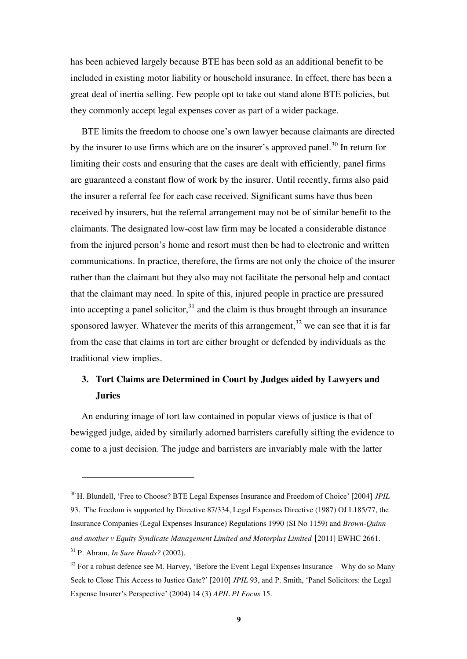has been achieved largely because BTE has been sold as an additional benefit to be included in existing motor liability or household insurance. In effect, there has been a great deal of inertia selling. Few people opt to take out stand alone BTE policies, but they commonly accept legal expenses cover as part of a wider package.

BTE limits the freedom to choose one's own lawyer because claimants are directed by the insurer to use firms which are on the insurer's approved panel.<sup>30</sup> In return for limiting their costs and ensuring that the cases are dealt with efficiently, panel firms are guaranteed a constant flow of work by the insurer. Until recently, firms also paid the insurer a referral fee for each case received. Significant sums have thus been received by insurers, but the referral arrangement may not be of similar benefit to the claimants. The designated low-cost law firm may be located a considerable distance from the injured person's home and resort must then be had to electronic and written communications. In practice, therefore, the firms are not only the choice of the insurer rather than the claimant but they also may not facilitate the personal help and contact that the claimant may need. In spite of this, injured people in practice are pressured into accepting a panel solicitor, $31$  and the claim is thus brought through an insurance sponsored lawyer. Whatever the merits of this arrangement,  $32$  we can see that it is far from the case that claims in tort are either brought or defended by individuals as the traditional view implies.

## **3. Tort Claims are Determined in Court by Judges aided by Lawyers and Juries**

An enduring image of tort law contained in popular views of justice is that of bewigged judge, aided by similarly adorned barristers carefully sifting the evidence to come to a just decision. The judge and barristers are invariably male with the latter

<sup>30</sup>H. Blundell, 'Free to Choose? BTE Legal Expenses Insurance and Freedom of Choice' [2004] *JPIL* 93. The freedom is supported by Directive 87/334, Legal Expenses Directive (1987) OJ L185/77, the Insurance Companies (Legal Expenses Insurance) Regulations 1990 (SI No 1159) and *Brown-Quinn and another v Equity Syndicate Management Limited and Motorplus Limited* [2011] EWHC 2661. <sup>31</sup> P. Abram, *In Sure Hands?* (2002).

 $32$  For a robust defence see M. Harvey, 'Before the Event Legal Expenses Insurance – Why do so Many Seek to Close This Access to Justice Gate?' [2010] *JPIL* 93, and P. Smith, 'Panel Solicitors: the Legal Expense Insurer's Perspective' (2004) 14 (3) *APIL PI Focus* 15.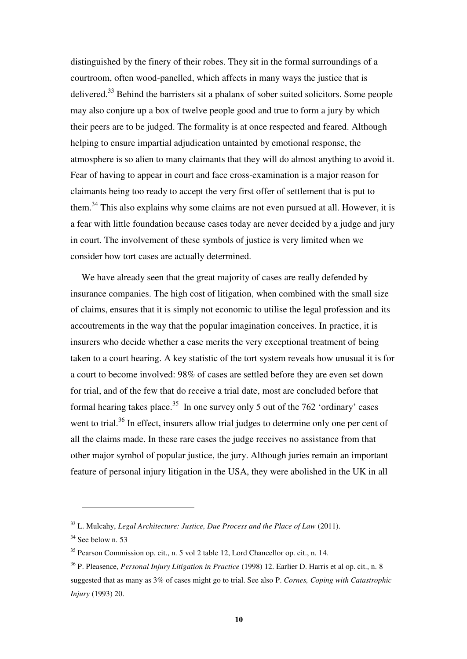distinguished by the finery of their robes. They sit in the formal surroundings of a courtroom, often wood-panelled, which affects in many ways the justice that is delivered.<sup>33</sup> Behind the barristers sit a phalanx of sober suited solicitors. Some people may also conjure up a box of twelve people good and true to form a jury by which their peers are to be judged. The formality is at once respected and feared. Although helping to ensure impartial adjudication untainted by emotional response, the atmosphere is so alien to many claimants that they will do almost anything to avoid it. Fear of having to appear in court and face cross-examination is a major reason for claimants being too ready to accept the very first offer of settlement that is put to them.<sup>34</sup> This also explains why some claims are not even pursued at all. However, it is a fear with little foundation because cases today are never decided by a judge and jury in court. The involvement of these symbols of justice is very limited when we consider how tort cases are actually determined.

We have already seen that the great majority of cases are really defended by insurance companies. The high cost of litigation, when combined with the small size of claims, ensures that it is simply not economic to utilise the legal profession and its accoutrements in the way that the popular imagination conceives. In practice, it is insurers who decide whether a case merits the very exceptional treatment of being taken to a court hearing. A key statistic of the tort system reveals how unusual it is for a court to become involved: 98% of cases are settled before they are even set down for trial, and of the few that do receive a trial date, most are concluded before that formal hearing takes place.<sup>35</sup> In one survey only 5 out of the 762 'ordinary' cases went to trial.<sup>36</sup> In effect, insurers allow trial judges to determine only one per cent of all the claims made. In these rare cases the judge receives no assistance from that other major symbol of popular justice, the jury. Although juries remain an important feature of personal injury litigation in the USA, they were abolished in the UK in all

<sup>33</sup> L. Mulcahy, *Legal Architecture: Justice, Due Process and the Place of Law* (2011).

 $34$  See below n. 53

<sup>35</sup> Pearson Commission op. cit., n. 5 vol 2 table 12, Lord Chancellor op. cit., n. 14.

<sup>36</sup> P. Pleasence, *Personal Injury Litigation in Practice* (1998) 12. Earlier D. Harris et al op. cit., n. 8 suggested that as many as 3% of cases might go to trial. See also P. *Cornes, Coping with Catastrophic Injury* (1993) 20.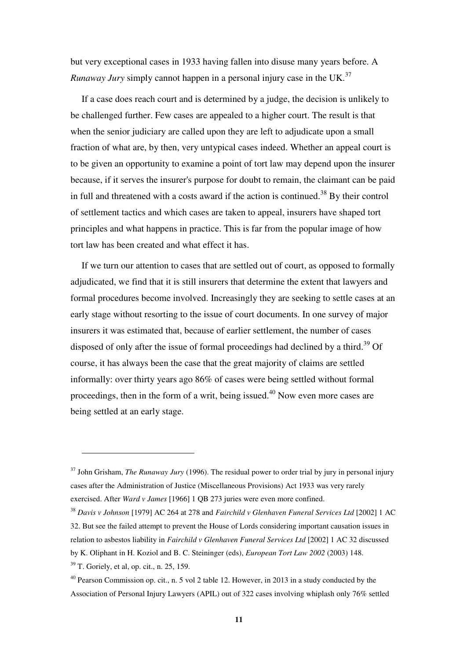but very exceptional cases in 1933 having fallen into disuse many years before. A *Runaway Jury* simply cannot happen in a personal injury case in the UK.<sup>37</sup>

If a case does reach court and is determined by a judge, the decision is unlikely to be challenged further. Few cases are appealed to a higher court. The result is that when the senior judiciary are called upon they are left to adjudicate upon a small fraction of what are, by then, very untypical cases indeed. Whether an appeal court is to be given an opportunity to examine a point of tort law may depend upon the insurer because, if it serves the insurer's purpose for doubt to remain, the claimant can be paid in full and threatened with a costs award if the action is continued.<sup>38</sup> By their control of settlement tactics and which cases are taken to appeal, insurers have shaped tort principles and what happens in practice. This is far from the popular image of how tort law has been created and what effect it has.

If we turn our attention to cases that are settled out of court, as opposed to formally adjudicated, we find that it is still insurers that determine the extent that lawyers and formal procedures become involved. Increasingly they are seeking to settle cases at an early stage without resorting to the issue of court documents. In one survey of major insurers it was estimated that, because of earlier settlement, the number of cases disposed of only after the issue of formal proceedings had declined by a third.<sup>39</sup> Of course, it has always been the case that the great majority of claims are settled informally: over thirty years ago 86% of cases were being settled without formal proceedings, then in the form of a writ, being issued.<sup>40</sup> Now even more cases are being settled at an early stage.

<sup>&</sup>lt;sup>37</sup> John Grisham, *The Runaway Jury* (1996). The residual power to order trial by jury in personal injury cases after the Administration of Justice (Miscellaneous Provisions) Act 1933 was very rarely exercised. After *Ward v James* [1966] 1 QB 273 juries were even more confined.

<sup>38</sup> *Davis v Johnson* [1979] AC 264 at 278 and *Fairchild v Glenhaven Funeral Services Ltd* [2002] 1 AC 32. But see the failed attempt to prevent the House of Lords considering important causation issues in relation to asbestos liability in *Fairchild v Glenhaven Funeral Services Ltd* [2002] 1 AC 32 discussed by K. Oliphant in H. Koziol and B. C. Steininger (eds), *European Tort Law 2002* (2003) 148.  $39$  T. Goriely, et al, op. cit., n. 25, 159.

<sup>40</sup> Pearson Commission op. cit., n. 5 vol 2 table 12. However, in 2013 in a study conducted by the Association of Personal Injury Lawyers (APIL) out of 322 cases involving whiplash only 76% settled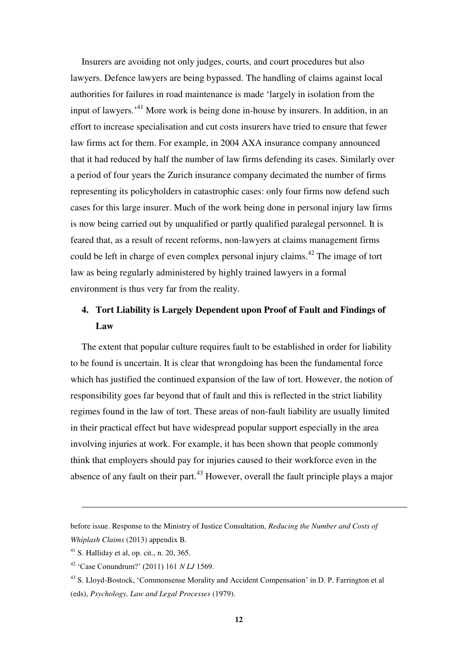Insurers are avoiding not only judges, courts, and court procedures but also lawyers. Defence lawyers are being bypassed. The handling of claims against local authorities for failures in road maintenance is made 'largely in isolation from the input of lawyers.<sup>'41</sup> More work is being done in-house by insurers. In addition, in an effort to increase specialisation and cut costs insurers have tried to ensure that fewer law firms act for them. For example, in 2004 AXA insurance company announced that it had reduced by half the number of law firms defending its cases. Similarly over a period of four years the Zurich insurance company decimated the number of firms representing its policyholders in catastrophic cases: only four firms now defend such cases for this large insurer. Much of the work being done in personal injury law firms is now being carried out by unqualified or partly qualified paralegal personnel. It is feared that, as a result of recent reforms, non-lawyers at claims management firms could be left in charge of even complex personal injury claims.<sup>42</sup> The image of tort law as being regularly administered by highly trained lawyers in a formal environment is thus very far from the reality.

## **4. Tort Liability is Largely Dependent upon Proof of Fault and Findings of Law**

The extent that popular culture requires fault to be established in order for liability to be found is uncertain. It is clear that wrongdoing has been the fundamental force which has justified the continued expansion of the law of tort. However, the notion of responsibility goes far beyond that of fault and this is reflected in the strict liability regimes found in the law of tort. These areas of non-fault liability are usually limited in their practical effect but have widespread popular support especially in the area involving injuries at work. For example, it has been shown that people commonly think that employers should pay for injuries caused to their workforce even in the absence of any fault on their part.<sup>43</sup> However, overall the fault principle plays a major

before issue. Response to the Ministry of Justice Consultation, *Reducing the Number and Costs of Whiplash Claims* (2013) appendix B.

 $41$  S. Halliday et al, op. cit., n. 20, 365.

<sup>42</sup> 'Case Conundrum?' (2011) 161 *N LJ* 1569.

<sup>43</sup> S. Lloyd-Bostock, 'Commonsense Morality and Accident Compensation' in D. P. Farrington et al (eds), *Psychology, Law and Legal Processes* (1979).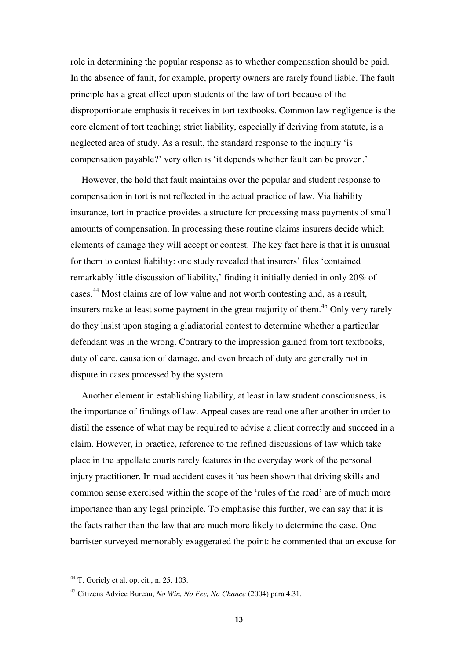role in determining the popular response as to whether compensation should be paid. In the absence of fault, for example, property owners are rarely found liable. The fault principle has a great effect upon students of the law of tort because of the disproportionate emphasis it receives in tort textbooks. Common law negligence is the core element of tort teaching; strict liability, especially if deriving from statute, is a neglected area of study. As a result, the standard response to the inquiry 'is compensation payable?' very often is 'it depends whether fault can be proven.'

However, the hold that fault maintains over the popular and student response to compensation in tort is not reflected in the actual practice of law. Via liability insurance, tort in practice provides a structure for processing mass payments of small amounts of compensation. In processing these routine claims insurers decide which elements of damage they will accept or contest. The key fact here is that it is unusual for them to contest liability: one study revealed that insurers' files 'contained remarkably little discussion of liability,' finding it initially denied in only 20% of cases.<sup>44</sup> Most claims are of low value and not worth contesting and, as a result, insurers make at least some payment in the great majority of them.<sup>45</sup> Only very rarely do they insist upon staging a gladiatorial contest to determine whether a particular defendant was in the wrong. Contrary to the impression gained from tort textbooks, duty of care, causation of damage, and even breach of duty are generally not in dispute in cases processed by the system.

Another element in establishing liability, at least in law student consciousness, is the importance of findings of law. Appeal cases are read one after another in order to distil the essence of what may be required to advise a client correctly and succeed in a claim. However, in practice, reference to the refined discussions of law which take place in the appellate courts rarely features in the everyday work of the personal injury practitioner. In road accident cases it has been shown that driving skills and common sense exercised within the scope of the 'rules of the road' are of much more importance than any legal principle. To emphasise this further, we can say that it is the facts rather than the law that are much more likely to determine the case. One barrister surveyed memorably exaggerated the point: he commented that an excuse for

 $44$  T. Goriely et al, op. cit., n. 25, 103.

<sup>45</sup> Citizens Advice Bureau, *No Win, No Fee, No Chance* (2004) para 4.31.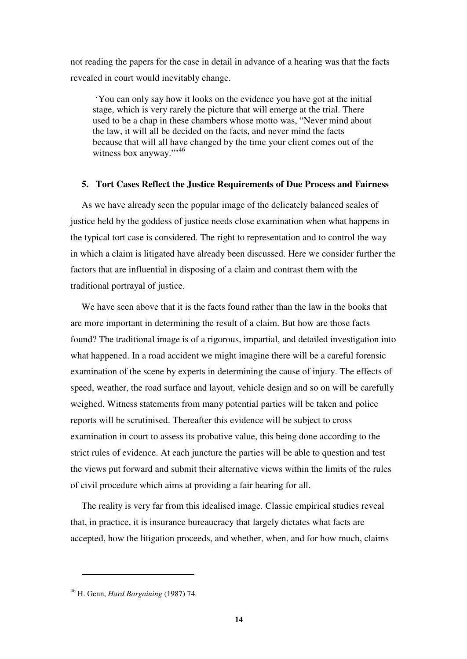not reading the papers for the case in detail in advance of a hearing was that the facts revealed in court would inevitably change.

'You can only say how it looks on the evidence you have got at the initial stage, which is very rarely the picture that will emerge at the trial. There used to be a chap in these chambers whose motto was, "Never mind about the law, it will all be decided on the facts, and never mind the facts because that will all have changed by the time your client comes out of the witness box anyway."<sup>46</sup>

#### **5. Tort Cases Reflect the Justice Requirements of Due Process and Fairness**

As we have already seen the popular image of the delicately balanced scales of justice held by the goddess of justice needs close examination when what happens in the typical tort case is considered. The right to representation and to control the way in which a claim is litigated have already been discussed. Here we consider further the factors that are influential in disposing of a claim and contrast them with the traditional portrayal of justice.

We have seen above that it is the facts found rather than the law in the books that are more important in determining the result of a claim. But how are those facts found? The traditional image is of a rigorous, impartial, and detailed investigation into what happened. In a road accident we might imagine there will be a careful forensic examination of the scene by experts in determining the cause of injury. The effects of speed, weather, the road surface and layout, vehicle design and so on will be carefully weighed. Witness statements from many potential parties will be taken and police reports will be scrutinised. Thereafter this evidence will be subject to cross examination in court to assess its probative value, this being done according to the strict rules of evidence. At each juncture the parties will be able to question and test the views put forward and submit their alternative views within the limits of the rules of civil procedure which aims at providing a fair hearing for all.

The reality is very far from this idealised image. Classic empirical studies reveal that, in practice, it is insurance bureaucracy that largely dictates what facts are accepted, how the litigation proceeds, and whether, when, and for how much, claims

<sup>46</sup> H. Genn, *Hard Bargaining* (1987) 74.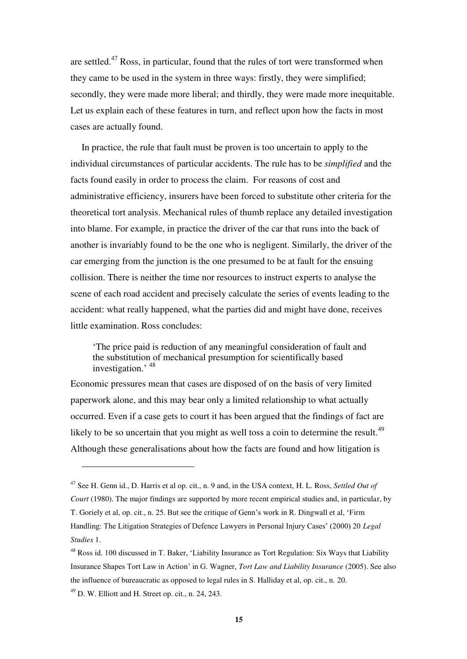are settled.<sup>47</sup> Ross, in particular, found that the rules of tort were transformed when they came to be used in the system in three ways: firstly, they were simplified; secondly, they were made more liberal; and thirdly, they were made more inequitable. Let us explain each of these features in turn, and reflect upon how the facts in most cases are actually found.

In practice, the rule that fault must be proven is too uncertain to apply to the individual circumstances of particular accidents. The rule has to be *simplified* and the facts found easily in order to process the claim. For reasons of cost and administrative efficiency, insurers have been forced to substitute other criteria for the theoretical tort analysis. Mechanical rules of thumb replace any detailed investigation into blame. For example, in practice the driver of the car that runs into the back of another is invariably found to be the one who is negligent. Similarly, the driver of the car emerging from the junction is the one presumed to be at fault for the ensuing collision. There is neither the time nor resources to instruct experts to analyse the scene of each road accident and precisely calculate the series of events leading to the accident: what really happened, what the parties did and might have done, receives little examination. Ross concludes:

'The price paid is reduction of any meaningful consideration of fault and the substitution of mechanical presumption for scientifically based investigation.' <sup>48</sup>

Economic pressures mean that cases are disposed of on the basis of very limited paperwork alone, and this may bear only a limited relationship to what actually occurred. Even if a case gets to court it has been argued that the findings of fact are likely to be so uncertain that you might as well toss a coin to determine the result.<sup>49</sup> Although these generalisations about how the facts are found and how litigation is

<sup>47</sup> See H. Genn id., D. Harris et al op. cit., n. 9 and, in the USA context, H. L. Ross, *Settled Out of Court* (1980). The major findings are supported by more recent empirical studies and, in particular, by T. Goriely et al, op. cit., n. 25. But see the critique of Genn's work in R. Dingwall et al, 'Firm Handling: The Litigation Strategies of Defence Lawyers in Personal Injury Cases' (2000) 20 *Legal Studies* 1.

<sup>&</sup>lt;sup>48</sup> Ross id. 100 discussed in T. Baker, 'Liability Insurance as Tort Regulation: Six Ways that Liability Insurance Shapes Tort Law in Action' in G. Wagner, *Tort Law and Liability Insurance* (2005). See also the influence of bureaucratic as opposed to legal rules in S. Halliday et al, op. cit., n. 20.

 $49$  D. W. Elliott and H. Street op. cit., n. 24, 243.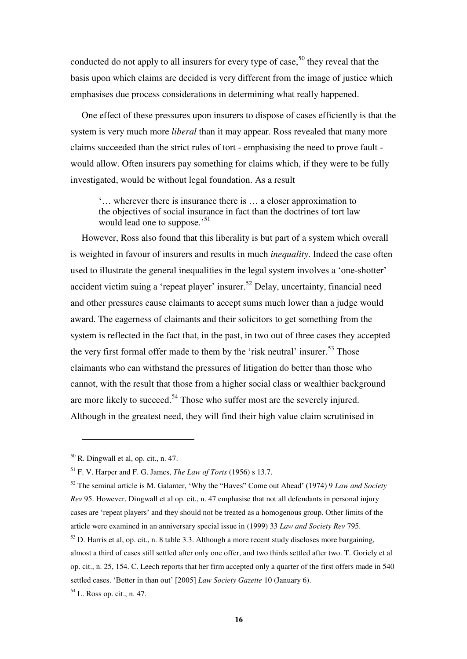conducted do not apply to all insurers for every type of case,  $50$  they reveal that the basis upon which claims are decided is very different from the image of justice which emphasises due process considerations in determining what really happened.

One effect of these pressures upon insurers to dispose of cases efficiently is that the system is very much more *liberal* than it may appear. Ross revealed that many more claims succeeded than the strict rules of tort - emphasising the need to prove fault would allow. Often insurers pay something for claims which, if they were to be fully investigated, would be without legal foundation. As a result

'… wherever there is insurance there is … a closer approximation to the objectives of social insurance in fact than the doctrines of tort law would lead one to suppose.' 51

However, Ross also found that this liberality is but part of a system which overall is weighted in favour of insurers and results in much *inequality*. Indeed the case often used to illustrate the general inequalities in the legal system involves a 'one-shotter' accident victim suing a 'repeat player' insurer.<sup>52</sup> Delay, uncertainty, financial need and other pressures cause claimants to accept sums much lower than a judge would award. The eagerness of claimants and their solicitors to get something from the system is reflected in the fact that, in the past, in two out of three cases they accepted the very first formal offer made to them by the 'risk neutral' insurer.<sup>53</sup> Those claimants who can withstand the pressures of litigation do better than those who cannot, with the result that those from a higher social class or wealthier background are more likely to succeed.<sup>54</sup> Those who suffer most are the severely injured. Although in the greatest need, they will find their high value claim scrutinised in

 $\overline{a}$ 

<sup>54</sup> L. Ross op. cit., n. 47.

 $50$  R. Dingwall et al, op. cit., n. 47.

<sup>51</sup> F. V. Harper and F. G. James, *The Law of Torts* (1956) s 13.7.

<sup>52</sup> The seminal article is M. Galanter, 'Why the "Haves" Come out Ahead' (1974) 9 *Law and Society Rev* 95. However, Dingwall et al op. cit., n. 47 emphasise that not all defendants in personal injury cases are 'repeat players' and they should not be treated as a homogenous group. Other limits of the article were examined in an anniversary special issue in (1999) 33 *Law and Society Rev* 795.

<sup>53</sup> D. Harris et al, op. cit., n. 8 table 3.3. Although a more recent study discloses more bargaining, almost a third of cases still settled after only one offer, and two thirds settled after two. T. Goriely et al op. cit., n. 25, 154. C. Leech reports that her firm accepted only a quarter of the first offers made in 540 settled cases. 'Better in than out' [2005] *Law Society Gazette* 10 (January 6).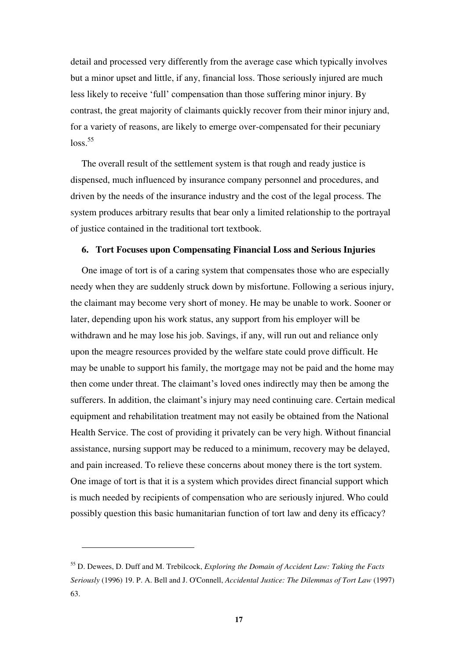detail and processed very differently from the average case which typically involves but a minor upset and little, if any, financial loss. Those seriously injured are much less likely to receive 'full' compensation than those suffering minor injury. By contrast, the great majority of claimants quickly recover from their minor injury and, for a variety of reasons, are likely to emerge over-compensated for their pecuniary  $loss.<sup>55</sup>$ 

The overall result of the settlement system is that rough and ready justice is dispensed, much influenced by insurance company personnel and procedures, and driven by the needs of the insurance industry and the cost of the legal process. The system produces arbitrary results that bear only a limited relationship to the portrayal of justice contained in the traditional tort textbook.

#### **6. Tort Focuses upon Compensating Financial Loss and Serious Injuries**

One image of tort is of a caring system that compensates those who are especially needy when they are suddenly struck down by misfortune. Following a serious injury, the claimant may become very short of money. He may be unable to work. Sooner or later, depending upon his work status, any support from his employer will be withdrawn and he may lose his job. Savings, if any, will run out and reliance only upon the meagre resources provided by the welfare state could prove difficult. He may be unable to support his family, the mortgage may not be paid and the home may then come under threat. The claimant's loved ones indirectly may then be among the sufferers. In addition, the claimant's injury may need continuing care. Certain medical equipment and rehabilitation treatment may not easily be obtained from the National Health Service. The cost of providing it privately can be very high. Without financial assistance, nursing support may be reduced to a minimum, recovery may be delayed, and pain increased. To relieve these concerns about money there is the tort system. One image of tort is that it is a system which provides direct financial support which is much needed by recipients of compensation who are seriously injured. Who could possibly question this basic humanitarian function of tort law and deny its efficacy?

<sup>55</sup> D. Dewees, D. Duff and M. Trebilcock, *Exploring the Domain of Accident Law: Taking the Facts Seriously* (1996) 19. P. A. Bell and J. O'Connell, *Accidental Justice: The Dilemmas of Tort Law* (1997) 63.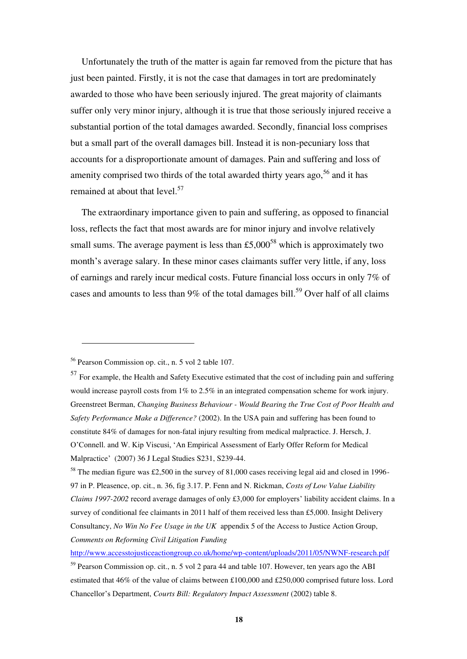Unfortunately the truth of the matter is again far removed from the picture that has just been painted. Firstly, it is not the case that damages in tort are predominately awarded to those who have been seriously injured. The great majority of claimants suffer only very minor injury, although it is true that those seriously injured receive a substantial portion of the total damages awarded. Secondly, financial loss comprises but a small part of the overall damages bill. Instead it is non-pecuniary loss that accounts for a disproportionate amount of damages. Pain and suffering and loss of amenity comprised two thirds of the total awarded thirty years ago,  $56$  and it has remained at about that level.<sup>57</sup>

The extraordinary importance given to pain and suffering, as opposed to financial loss, reflects the fact that most awards are for minor injury and involve relatively small sums. The average payment is less than  $£5,000<sup>58</sup>$  which is approximately two month's average salary. In these minor cases claimants suffer very little, if any, loss of earnings and rarely incur medical costs. Future financial loss occurs in only 7% of cases and amounts to less than 9% of the total damages bill.<sup>59</sup> Over half of all claims

<sup>56</sup> Pearson Commission op. cit., n. 5 vol 2 table 107.

<sup>57</sup> For example, the Health and Safety Executive estimated that the cost of including pain and suffering would increase payroll costs from 1% to 2.5% in an integrated compensation scheme for work injury. Greenstreet Berman, *Changing Business Behaviour - Would Bearing the True Cost of Poor Health and Safety Performance Make a Difference?* (2002). In the USA pain and suffering has been found to constitute 84% of damages for non-fatal injury resulting from medical malpractice. J. Hersch, J. O'Connell. and W. Kip Viscusi, 'An Empirical Assessment of Early Offer Reform for Medical Malpractice' (2007) 36 J Legal Studies S231, S239-44.

<sup>&</sup>lt;sup>58</sup> The median figure was £2,500 in the survey of 81,000 cases receiving legal aid and closed in 1996-97 in P. Pleasence, op. cit., n. 36, fig 3.17. P. Fenn and N. Rickman, *Costs of Low Value Liability Claims 1997-2002* record average damages of only £3,000 for employers' liability accident claims. In a survey of conditional fee claimants in 2011 half of them received less than £5,000. Insight Delivery Consultancy, *No Win No Fee Usage in the UK* appendix 5 of the Access to Justice Action Group, *Comments on Reforming Civil Litigation Funding*

<http://www.accesstojusticeactiongroup.co.uk/home/wp-content/uploads/2011/05/NWNF-research.pdf>

<sup>&</sup>lt;sup>59</sup> Pearson Commission op. cit., n. 5 vol 2 para 44 and table 107. However, ten years ago the ABI estimated that 46% of the value of claims between £100,000 and £250,000 comprised future loss. Lord Chancellor's Department, *Courts Bill: Regulatory Impact Assessment* (2002) table 8.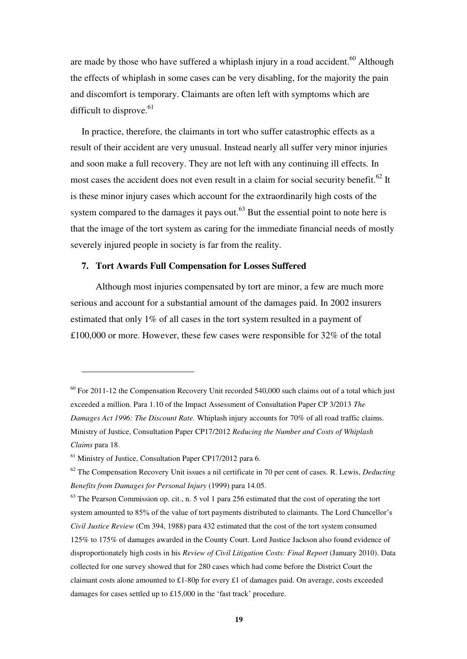are made by those who have suffered a whiplash injury in a road accident.<sup>60</sup> Although the effects of whiplash in some cases can be very disabling, for the majority the pain and discomfort is temporary. Claimants are often left with symptoms which are difficult to disprove.  $61$ 

In practice, therefore, the claimants in tort who suffer catastrophic effects as a result of their accident are very unusual. Instead nearly all suffer very minor injuries and soon make a full recovery. They are not left with any continuing ill effects. In most cases the accident does not even result in a claim for social security benefit.<sup>62</sup> It is these minor injury cases which account for the extraordinarily high costs of the system compared to the damages it pays out. $^{63}$  But the essential point to note here is that the image of the tort system as caring for the immediate financial needs of mostly severely injured people in society is far from the reality.

#### **7. Tort Awards Full Compensation for Losses Suffered**

Although most injuries compensated by tort are minor, a few are much more serious and account for a substantial amount of the damages paid. In 2002 insurers estimated that only 1% of all cases in the tort system resulted in a payment of £100,000 or more. However, these few cases were responsible for 32% of the total

 $60$  For 2011-12 the Compensation Recovery Unit recorded 540,000 such claims out of a total which just exceeded a million. Para 1.10 of the Impact Assessment of Consultation Paper CP 3/2013 *The Damages Act 1996: The Discount Rate.* Whiplash injury accounts for 70% of all road traffic claims. Ministry of Justice, Consultation Paper CP17/2012 *Reducing the Number and Costs of Whiplash Claims* para 18.

<sup>&</sup>lt;sup>61</sup> Ministry of Justice, Consultation Paper CP17/2012 para 6.

<sup>62</sup> The Compensation Recovery Unit issues a nil certificate in 70 per cent of cases. R. Lewis, *Deducting Benefits from Damages for Personal Injury* (1999) para 14.05.

 $63$  The Pearson Commission op. cit., n. 5 vol 1 para 256 estimated that the cost of operating the tort system amounted to 85% of the value of tort payments distributed to claimants. The Lord Chancellor's *Civil Justice Review* (Cm 394, 1988) para 432 estimated that the cost of the tort system consumed 125% to 175% of damages awarded in the County Court. Lord Justice Jackson also found evidence of disproportionately high costs in his *Review of Civil Litigation Costs: Final Report* (January 2010). Data collected for one survey showed that for 280 cases which had come before the District Court the claimant costs alone amounted to £1-80p for every £1 of damages paid. On average, costs exceeded damages for cases settled up to £15,000 in the 'fast track' procedure.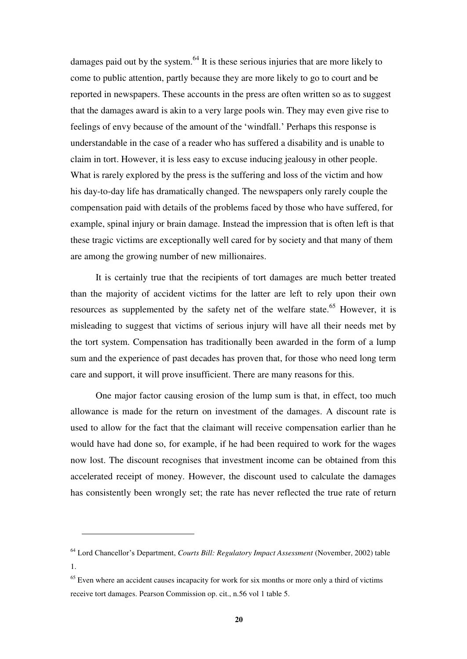damages paid out by the system. $64$  It is these serious injuries that are more likely to come to public attention, partly because they are more likely to go to court and be reported in newspapers. These accounts in the press are often written so as to suggest that the damages award is akin to a very large pools win. They may even give rise to feelings of envy because of the amount of the 'windfall.' Perhaps this response is understandable in the case of a reader who has suffered a disability and is unable to claim in tort. However, it is less easy to excuse inducing jealousy in other people. What is rarely explored by the press is the suffering and loss of the victim and how his day-to-day life has dramatically changed. The newspapers only rarely couple the compensation paid with details of the problems faced by those who have suffered, for example, spinal injury or brain damage. Instead the impression that is often left is that these tragic victims are exceptionally well cared for by society and that many of them are among the growing number of new millionaires.

It is certainly true that the recipients of tort damages are much better treated than the majority of accident victims for the latter are left to rely upon their own resources as supplemented by the safety net of the welfare state.<sup>65</sup> However, it is misleading to suggest that victims of serious injury will have all their needs met by the tort system. Compensation has traditionally been awarded in the form of a lump sum and the experience of past decades has proven that, for those who need long term care and support, it will prove insufficient. There are many reasons for this.

One major factor causing erosion of the lump sum is that, in effect, too much allowance is made for the return on investment of the damages. A discount rate is used to allow for the fact that the claimant will receive compensation earlier than he would have had done so, for example, if he had been required to work for the wages now lost. The discount recognises that investment income can be obtained from this accelerated receipt of money. However, the discount used to calculate the damages has consistently been wrongly set; the rate has never reflected the true rate of return

<sup>64</sup> Lord Chancellor's Department, *Courts Bill: Regulatory Impact Assessment* (November, 2002) table 1.

<sup>&</sup>lt;sup>65</sup> Even where an accident causes incapacity for work for six months or more only a third of victims receive tort damages. Pearson Commission op. cit., n.56 vol 1 table 5.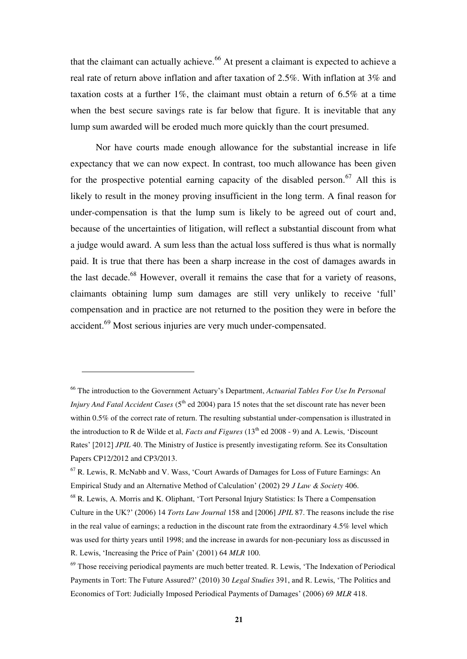that the claimant can actually achieve.<sup>66</sup> At present a claimant is expected to achieve a real rate of return above inflation and after taxation of 2.5%. With inflation at 3% and taxation costs at a further 1%, the claimant must obtain a return of 6.5% at a time when the best secure savings rate is far below that figure. It is inevitable that any lump sum awarded will be eroded much more quickly than the court presumed.

Nor have courts made enough allowance for the substantial increase in life expectancy that we can now expect. In contrast, too much allowance has been given for the prospective potential earning capacity of the disabled person.<sup>67</sup> All this is likely to result in the money proving insufficient in the long term. A final reason for under-compensation is that the lump sum is likely to be agreed out of court and, because of the uncertainties of litigation, will reflect a substantial discount from what a judge would award. A sum less than the actual loss suffered is thus what is normally paid. It is true that there has been a sharp increase in the cost of damages awards in the last decade.<sup>68</sup> However, overall it remains the case that for a variety of reasons, claimants obtaining lump sum damages are still very unlikely to receive 'full' compensation and in practice are not returned to the position they were in before the accident.<sup>69</sup> Most serious injuries are very much under-compensated.

<sup>66</sup> The introduction to the Government Actuary's Department, *Actuarial Tables For Use In Personal Injury And Fatal Accident Cases* (5<sup>th</sup> ed 2004) para 15 notes that the set discount rate has never been within 0.5% of the correct rate of return. The resulting substantial under-compensation is illustrated in the introduction to R de Wilde et al, *Facts and Figures* (13<sup>th</sup> ed 2008 - 9) and A. Lewis, 'Discount Rates' [2012] *JPIL* 40. The Ministry of Justice is presently investigating reform. See its Consultation Papers CP12/2012 and CP3/2013.

<sup>67</sup> R. Lewis, R. McNabb and V. Wass, 'Court Awards of Damages for Loss of Future Earnings: An Empirical Study and an Alternative Method of Calculation' (2002) 29 *J Law & Society* 406.

<sup>68</sup> R. Lewis, A. Morris and K. Oliphant, 'Tort Personal Injury Statistics: Is There a Compensation Culture in the UK?' (2006) 14 *Torts Law Journal* 158 and [2006] *JPIL* 87. The reasons include the rise in the real value of earnings; a reduction in the discount rate from the extraordinary 4.5% level which was used for thirty years until 1998; and the increase in awards for non-pecuniary loss as discussed in R. Lewis, 'Increasing the Price of Pain' (2001) 64 *MLR* 100.

<sup>&</sup>lt;sup>69</sup> Those receiving periodical payments are much better treated. R. Lewis, 'The Indexation of Periodical Payments in Tort: The Future Assured?' (2010) 30 *Legal Studies* 391, and R. Lewis, 'The Politics and Economics of Tort: Judicially Imposed Periodical Payments of Damages' (2006) 69 *MLR* 418.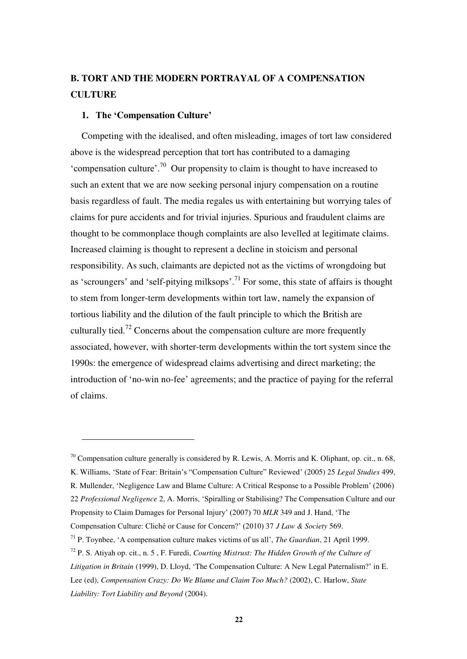## **B. TORT AND THE MODERN PORTRAYAL OF A COMPENSATION CULTURE**

#### **1. The 'Compensation Culture'**

 $\overline{a}$ 

Competing with the idealised, and often misleading, images of tort law considered above is the widespread perception that tort has contributed to a damaging 'compensation culture'. <sup>70</sup> Our propensity to claim is thought to have increased to such an extent that we are now seeking personal injury compensation on a routine basis regardless of fault. The media regales us with entertaining but worrying tales of claims for pure accidents and for trivial injuries. Spurious and fraudulent claims are thought to be commonplace though complaints are also levelled at legitimate claims. Increased claiming is thought to represent a decline in stoicism and personal responsibility. As such, claimants are depicted not as the victims of wrongdoing but as 'scroungers' and 'self-pitying milksops'.<sup>71</sup> For some, this state of affairs is thought to stem from longer-term developments within tort law, namely the expansion of tortious liability and the dilution of the fault principle to which the British are culturally tied.<sup>72</sup> Concerns about the compensation culture are more frequently associated, however, with shorter-term developments within the tort system since the 1990s: the emergence of widespread claims advertising and direct marketing; the introduction of 'no-win no-fee' agreements; and the practice of paying for the referral of claims.

 $70$  Compensation culture generally is considered by R. Lewis, A. Morris and K. Oliphant, op. cit., n. 68, K. Williams, 'State of Fear: Britain's "Compensation Culture" Reviewed' (2005) 25 *Legal Studies* 499, R. Mullender, 'Negligence Law and Blame Culture: A Critical Response to a Possible Problem' (2006) 22 *Professional Negligence* 2, A. Morris, 'Spiralling or Stabilising? The Compensation Culture and our Propensity to Claim Damages for Personal Injury' (2007) 70 *MLR* 349 and J. Hand, 'The Compensation Culture: Cliché or Cause for Concern?' (2010) 37 *J Law & Society* 569. <sup>71</sup> P. Toynbee, 'A compensation culture makes victims of us all', *The Guardian*, 21 April 1999. <sup>72</sup> P. S. Atiyah op. cit., n. 5 , F. Furedi, *Courting Mistrust: The Hidden Growth of the Culture of Litigation in Britain* (1999), D. Lloyd, 'The Compensation Culture: A New Legal Paternalism?' in E. Lee (ed), *Compensation Crazy: Do We Blame and Claim Too Much?* (2002), C. Harlow, *State Liability: Tort Liability and Beyond* (2004).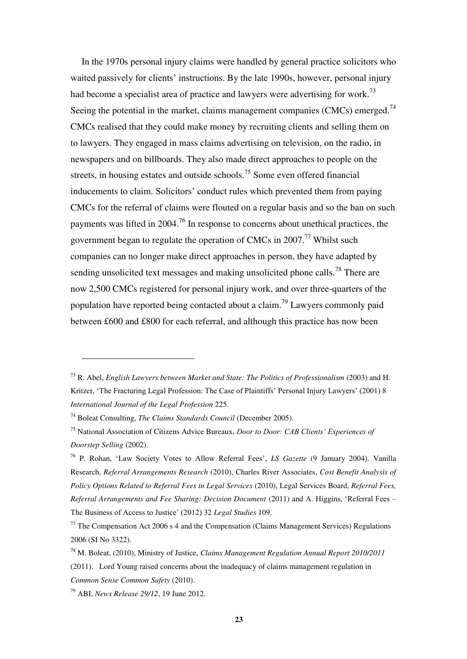In the 1970s personal injury claims were handled by general practice solicitors who waited passively for clients' instructions. By the late 1990s, however, personal injury had become a specialist area of practice and lawyers were advertising for work.<sup>73</sup> Seeing the potential in the market, claims management companies (CMCs) emerged.<sup>74</sup> CMCs realised that they could make money by recruiting clients and selling them on to lawyers. They engaged in mass claims advertising on television, on the radio, in newspapers and on billboards. They also made direct approaches to people on the streets, in housing estates and outside schools.<sup>75</sup> Some even offered financial inducements to claim. Solicitors' conduct rules which prevented them from paying CMCs for the referral of claims were flouted on a regular basis and so the ban on such payments was lifted in 2004.<sup>76</sup> In response to concerns about unethical practices, the government began to regulate the operation of CMCs in  $2007$ .<sup>77</sup> Whilst such companies can no longer make direct approaches in person, they have adapted by sending unsolicited text messages and making unsolicited phone calls.<sup>78</sup> There are now 2,500 CMCs registered for personal injury work, and over three-quarters of the population have reported being contacted about a claim.<sup>79</sup> Lawyers commonly paid between £600 and £800 for each referral, and although this practice has now been

l

<sup>73</sup> R. Abel, *English Lawyers between Market and State: The Politics of Professionalism* (2003) and H. Kritzer, 'The Fracturing Legal Profession: The Case of Plaintiffs' Personal Injury Lawyers' (2001) 8 *International Journal of the Legal Profession* 225.

<sup>74</sup> Boleat Consulting, *The Claims Standards Council* (December 2005).

<sup>75</sup> National Association of Citizens Advice Bureaux, *Door to Door: CAB Clients' Experiences of Doorstep Selling* (2002).

<sup>76</sup> P. Rohan, 'Law Society Votes to Allow Referral Fees', *LS Gazette* (9 January 2004). Vanilla Research, *Referral Arrangements Research* (2010), Charles River Associates, *Cost Benefit Analysis of Policy Options Related to Referral Fees in Legal Services* (2010), Legal Services Board, *Referral Fees, Referral Arrangements and Fee Sharing: Decision Document* (2011) and A. Higgins, 'Referral Fees – The Business of Access to Justice' (2012) 32 *Legal Studies* 109.

 $77$  The Compensation Act 2006 s 4 and the Compensation (Claims Management Services) Regulations 2006 (SI No 3322).

<sup>78</sup> M. Boleat, (2010), Ministry of Justice, *Claims Management Regulation Annual Report 2010/2011* 

<sup>(2011).</sup> Lord Young raised concerns about the inadequacy of claims management regulation in *Common Sense Common Safety* (2010).

<sup>79</sup> ABI, *News Release 29/12*, 19 June 2012.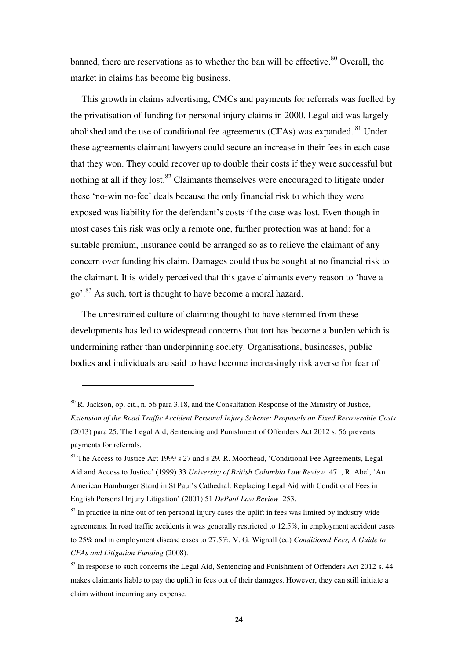banned, there are reservations as to whether the ban will be effective. $80$  Overall, the market in claims has become big business.

This growth in claims advertising, CMCs and payments for referrals was fuelled by the privatisation of funding for personal injury claims in 2000. Legal aid was largely abolished and the use of conditional fee agreements (CFAs) was expanded. <sup>81</sup> Under these agreements claimant lawyers could secure an increase in their fees in each case that they won. They could recover up to double their costs if they were successful but nothing at all if they lost.<sup>82</sup> Claimants themselves were encouraged to litigate under these 'no-win no-fee' deals because the only financial risk to which they were exposed was liability for the defendant's costs if the case was lost. Even though in most cases this risk was only a remote one, further protection was at hand: for a suitable premium, insurance could be arranged so as to relieve the claimant of any concern over funding his claim. Damages could thus be sought at no financial risk to the claimant. It is widely perceived that this gave claimants every reason to 'have a go'. <sup>83</sup> As such, tort is thought to have become a moral hazard.

The unrestrained culture of claiming thought to have stemmed from these developments has led to widespread concerns that tort has become a burden which is undermining rather than underpinning society. Organisations, businesses, public bodies and individuals are said to have become increasingly risk averse for fear of

 $80$  R. Jackson, op. cit., n. 56 para 3.18, and the Consultation Response of the Ministry of Justice, *Extension of the Road Traffic Accident Personal Injury Scheme: Proposals on Fixed Recoverable Costs* (2013) para 25. The Legal Aid, Sentencing and Punishment of Offenders Act 2012 s. 56 prevents payments for referrals.

<sup>&</sup>lt;sup>81</sup> The Access to Justice Act 1999 s 27 and s 29. R. Moorhead, 'Conditional Fee Agreements, Legal Aid and Access to Justice' (1999) 33 *University of British Columbia Law Review* 471, R. Abel, 'An American Hamburger Stand in St Paul's Cathedral: Replacing Legal Aid with Conditional Fees in English Personal Injury Litigation' (2001) 51 *DePaul Law Review* 253.

 $82$  In practice in nine out of ten personal injury cases the uplift in fees was limited by industry wide agreements. In road traffic accidents it was generally restricted to 12.5%, in employment accident cases to 25% and in employment disease cases to 27.5%. V. G. Wignall (ed) *Conditional Fees, A Guide to CFAs and Litigation Funding* (2008).

<sup>&</sup>lt;sup>83</sup> In response to such concerns the Legal Aid, Sentencing and Punishment of Offenders Act 2012 s. 44 makes claimants liable to pay the uplift in fees out of their damages. However, they can still initiate a claim without incurring any expense.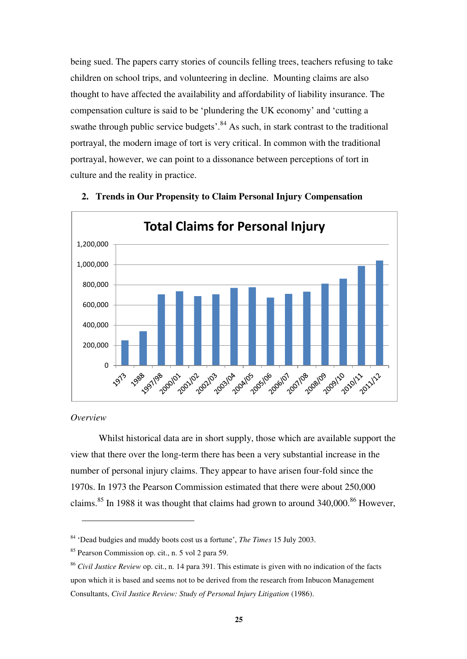being sued. The papers carry stories of councils felling trees, teachers refusing to take children on school trips, and volunteering in decline. Mounting claims are also thought to have affected the availability and affordability of liability insurance. The compensation culture is said to be 'plundering the UK economy' and 'cutting a swathe through public service budgets'.<sup>84</sup> As such, in stark contrast to the traditional portrayal, the modern image of tort is very critical. In common with the traditional portrayal, however, we can point to a dissonance between perceptions of tort in culture and the reality in practice.



#### **2. Trends in Our Propensity to Claim Personal Injury Compensation**

#### *Overview*

 $\overline{a}$ 

Whilst historical data are in short supply, those which are available support the view that there over the long-term there has been a very substantial increase in the number of personal injury claims. They appear to have arisen four-fold since the 1970s. In 1973 the Pearson Commission estimated that there were about 250,000 claims.<sup>85</sup> In 1988 it was thought that claims had grown to around 340,000.<sup>86</sup> However,

<sup>84</sup> 'Dead budgies and muddy boots cost us a fortune', *The Times* 15 July 2003.

<sup>85</sup> Pearson Commission op. cit., n. 5 vol 2 para 59.

<sup>86</sup> *Civil Justice Review* op. cit., n. 14 para 391. This estimate is given with no indication of the facts upon which it is based and seems not to be derived from the research from Inbucon Management Consultants, *Civil Justice Review: Study of Personal Injury Litigation* (1986).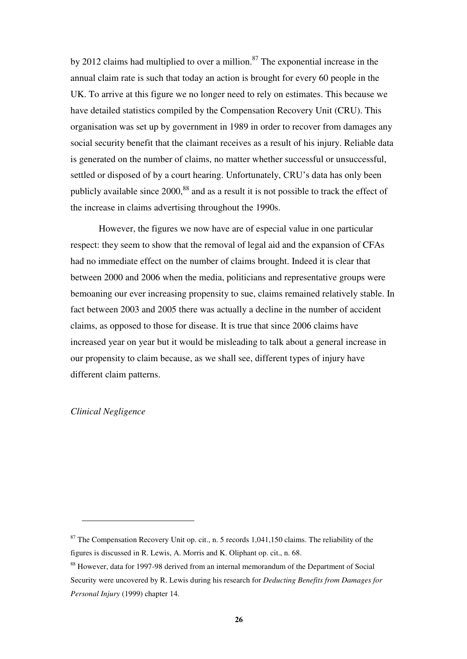by 2012 claims had multiplied to over a million.<sup>87</sup> The exponential increase in the annual claim rate is such that today an action is brought for every 60 people in the UK. To arrive at this figure we no longer need to rely on estimates. This because we have detailed statistics compiled by the Compensation Recovery Unit (CRU). This organisation was set up by government in 1989 in order to recover from damages any social security benefit that the claimant receives as a result of his injury. Reliable data is generated on the number of claims, no matter whether successful or unsuccessful, settled or disposed of by a court hearing. Unfortunately, CRU's data has only been publicly available since 2000,<sup>88</sup> and as a result it is not possible to track the effect of the increase in claims advertising throughout the 1990s.

However, the figures we now have are of especial value in one particular respect: they seem to show that the removal of legal aid and the expansion of CFAs had no immediate effect on the number of claims brought. Indeed it is clear that between 2000 and 2006 when the media, politicians and representative groups were bemoaning our ever increasing propensity to sue, claims remained relatively stable. In fact between 2003 and 2005 there was actually a decline in the number of accident claims, as opposed to those for disease. It is true that since 2006 claims have increased year on year but it would be misleading to talk about a general increase in our propensity to claim because, as we shall see, different types of injury have different claim patterns.

#### *Clinical Negligence*

 $87$  The Compensation Recovery Unit op. cit., n. 5 records 1,041,150 claims. The reliability of the figures is discussed in R. Lewis, A. Morris and K. Oliphant op. cit., n. 68.

<sup>88</sup> However, data for 1997-98 derived from an internal memorandum of the Department of Social Security were uncovered by R. Lewis during his research for *Deducting Benefits from Damages for Personal Injury* (1999) chapter 14.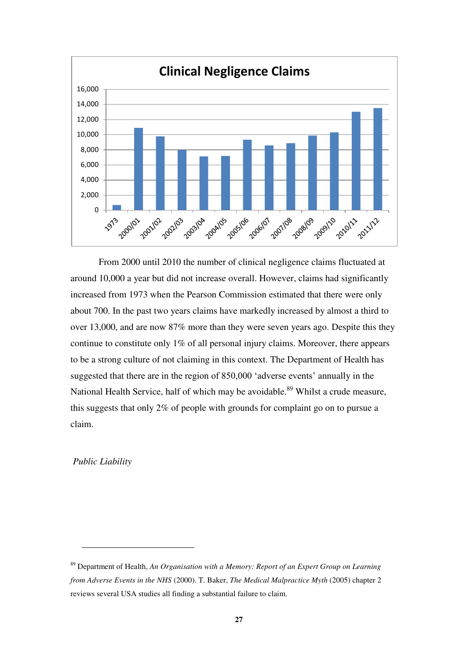

From 2000 until 2010 the number of clinical negligence claims fluctuated at around 10,000 a year but did not increase overall. However, claims had significantly increased from 1973 when the Pearson Commission estimated that there were only about 700. In the past two years claims have markedly increased by almost a third to over 13,000, and are now 87% more than they were seven years ago. Despite this they continue to constitute only 1% of all personal injury claims. Moreover, there appears to be a strong culture of not claiming in this context. The Department of Health has suggested that there are in the region of 850,000 'adverse events' annually in the National Health Service, half of which may be avoidable.<sup>89</sup> Whilst a crude measure, this suggests that only 2% of people with grounds for complaint go on to pursue a claim.

*Public Liability* 

<sup>89</sup> Department of Health, *An Organisation with a Memory: Report of an Expert Group on Learning from Adverse Events in the NHS* (2000). T. Baker, *The Medical Malpractice Myth* (2005) chapter 2 reviews several USA studies all finding a substantial failure to claim.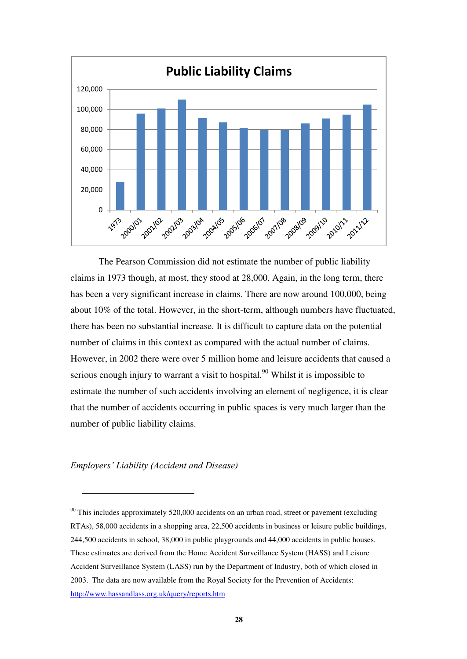

The Pearson Commission did not estimate the number of public liability claims in 1973 though, at most, they stood at 28,000. Again, in the long term, there has been a very significant increase in claims. There are now around 100,000, being about 10% of the total. However, in the short-term, although numbers have fluctuated, there has been no substantial increase. It is difficult to capture data on the potential number of claims in this context as compared with the actual number of claims. However, in 2002 there were over 5 million home and leisure accidents that caused a serious enough injury to warrant a visit to hospital.<sup>90</sup> Whilst it is impossible to estimate the number of such accidents involving an element of negligence, it is clear that the number of accidents occurring in public spaces is very much larger than the number of public liability claims.

#### *Employers' Liability (Accident and Disease)*

 $90$  This includes approximately 520,000 accidents on an urban road, street or pavement (excluding RTAs), 58,000 accidents in a shopping area, 22,500 accidents in business or leisure public buildings, 244,500 accidents in school, 38,000 in public playgrounds and 44,000 accidents in public houses. These estimates are derived from the Home Accident Surveillance System (HASS) and Leisure Accident Surveillance System (LASS) run by the Department of Industry, both of which closed in 2003. The data are now available from the Royal Society for the Prevention of Accidents: <http://www.hassandlass.org.uk/query/reports.htm>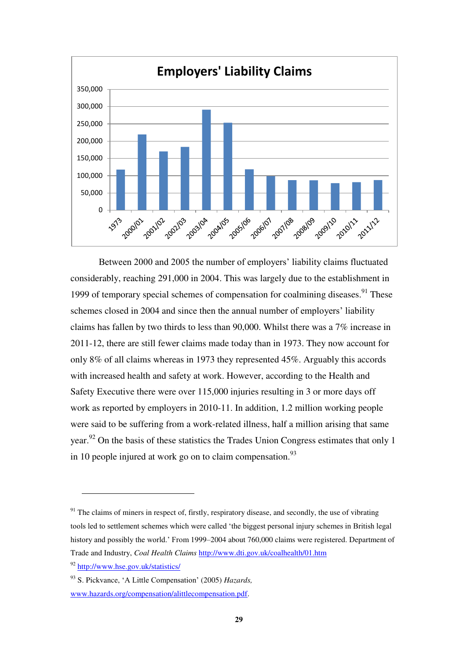

Between 2000 and 2005 the number of employers' liability claims fluctuated considerably, reaching 291,000 in 2004. This was largely due to the establishment in 1999 of temporary special schemes of compensation for coalmining diseases.<sup>91</sup> These schemes closed in 2004 and since then the annual number of employers' liability claims has fallen by two thirds to less than 90,000. Whilst there was a 7% increase in 2011-12, there are still fewer claims made today than in 1973. They now account for only 8% of all claims whereas in 1973 they represented 45%. Arguably this accords with increased health and safety at work. However, according to the Health and Safety Executive there were over 115,000 injuries resulting in 3 or more days off work as reported by employers in 2010-11. In addition, 1.2 million working people were said to be suffering from a work-related illness, half a million arising that same year.<sup>92</sup> On the basis of these statistics the Trades Union Congress estimates that only 1 in 10 people injured at work go on to claim compensation. $93$ 

 $91$  The claims of miners in respect of, firstly, respiratory disease, and secondly, the use of vibrating tools led to settlement schemes which were called 'the biggest personal injury schemes in British legal history and possibly the world.' From 1999–2004 about 760,000 claims were registered. Department of Trade and Industry, *Coal Health Claims* <http://www.dti.gov.uk/coalhealth/01.htm> <sup>92</sup> <http://www.hse.gov.uk/statistics/>

<sup>93</sup> S. Pickvance, 'A Little Compensation' (2005) *Hazards,*  [www.hazards.org/compensation/alittlecompensation.pdf.](http://www.hazards.org/compensation/alittlecompensation.pdf)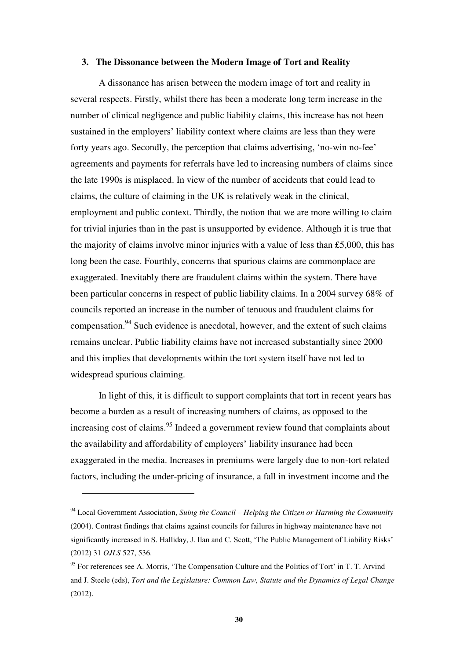#### **3. The Dissonance between the Modern Image of Tort and Reality**

A dissonance has arisen between the modern image of tort and reality in several respects. Firstly, whilst there has been a moderate long term increase in the number of clinical negligence and public liability claims, this increase has not been sustained in the employers' liability context where claims are less than they were forty years ago. Secondly, the perception that claims advertising, 'no-win no-fee' agreements and payments for referrals have led to increasing numbers of claims since the late 1990s is misplaced. In view of the number of accidents that could lead to claims, the culture of claiming in the UK is relatively weak in the clinical, employment and public context. Thirdly, the notion that we are more willing to claim for trivial injuries than in the past is unsupported by evidence. Although it is true that the majority of claims involve minor injuries with a value of less than £5,000, this has long been the case. Fourthly, concerns that spurious claims are commonplace are exaggerated. Inevitably there are fraudulent claims within the system. There have been particular concerns in respect of public liability claims. In a 2004 survey 68% of councils reported an increase in the number of tenuous and fraudulent claims for compensation.<sup>94</sup> Such evidence is anecdotal, however, and the extent of such claims remains unclear. Public liability claims have not increased substantially since 2000 and this implies that developments within the tort system itself have not led to widespread spurious claiming.

In light of this, it is difficult to support complaints that tort in recent years has become a burden as a result of increasing numbers of claims, as opposed to the increasing cost of claims.<sup>95</sup> Indeed a government review found that complaints about the availability and affordability of employers' liability insurance had been exaggerated in the media. Increases in premiums were largely due to non-tort related factors, including the under-pricing of insurance, a fall in investment income and the

<sup>94</sup> Local Government Association, *Suing the Council – Helping the Citizen or Harming the Community*  (2004). Contrast findings that claims against councils for failures in highway maintenance have not significantly increased in S. Halliday, J. Ilan and C. Scott, 'The Public Management of Liability Risks' (2012) 31 *OJLS* 527, 536.

<sup>&</sup>lt;sup>95</sup> For references see A. Morris, 'The Compensation Culture and the Politics of Tort' in T. T. Arvind and J. Steele (eds), *Tort and the Legislature: Common Law, Statute and the Dynamics of Legal Change*  (2012).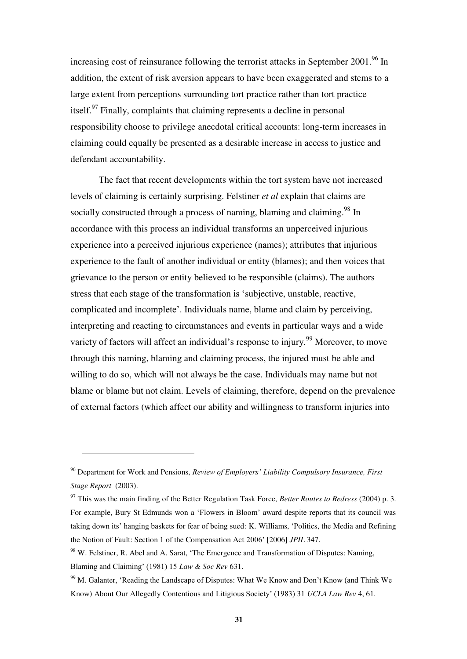increasing cost of reinsurance following the terrorist attacks in September  $2001$ .<sup>96</sup> In addition, the extent of risk aversion appears to have been exaggerated and stems to a large extent from perceptions surrounding tort practice rather than tort practice itself.<sup>97</sup> Finally, complaints that claiming represents a decline in personal responsibility choose to privilege anecdotal critical accounts: long-term increases in claiming could equally be presented as a desirable increase in access to justice and defendant accountability.

The fact that recent developments within the tort system have not increased levels of claiming is certainly surprising. Felstiner *et al* explain that claims are socially constructed through a process of naming, blaming and claiming.<sup>98</sup> In accordance with this process an individual transforms an unperceived injurious experience into a perceived injurious experience (names); attributes that injurious experience to the fault of another individual or entity (blames); and then voices that grievance to the person or entity believed to be responsible (claims). The authors stress that each stage of the transformation is 'subjective, unstable, reactive, complicated and incomplete'. Individuals name, blame and claim by perceiving, interpreting and reacting to circumstances and events in particular ways and a wide variety of factors will affect an individual's response to injury.<sup>99</sup> Moreover, to move through this naming, blaming and claiming process, the injured must be able and willing to do so, which will not always be the case. Individuals may name but not blame or blame but not claim. Levels of claiming, therefore, depend on the prevalence of external factors (which affect our ability and willingness to transform injuries into

<sup>96</sup> Department for Work and Pensions, *Review of Employers' Liability Compulsory Insurance, First Stage Report* (2003).

<sup>97</sup> This was the main finding of the Better Regulation Task Force, *Better Routes to Redress* (2004) p. 3. For example, Bury St Edmunds won a 'Flowers in Bloom' award despite reports that its council was taking down its' hanging baskets for fear of being sued: K. Williams, 'Politics, the Media and Refining the Notion of Fault: Section 1 of the Compensation Act 2006' [2006] *JPIL* 347.

<sup>&</sup>lt;sup>98</sup> W. Felstiner, R. Abel and A. Sarat, 'The Emergence and Transformation of Disputes: Naming, Blaming and Claiming' (1981) 15 *Law & Soc Rev* 631.

<sup>&</sup>lt;sup>99</sup> M. Galanter, 'Reading the Landscape of Disputes: What We Know and Don't Know (and Think We Know) About Our Allegedly Contentious and Litigious Society' (1983) 31 *UCLA Law Rev* 4, 61.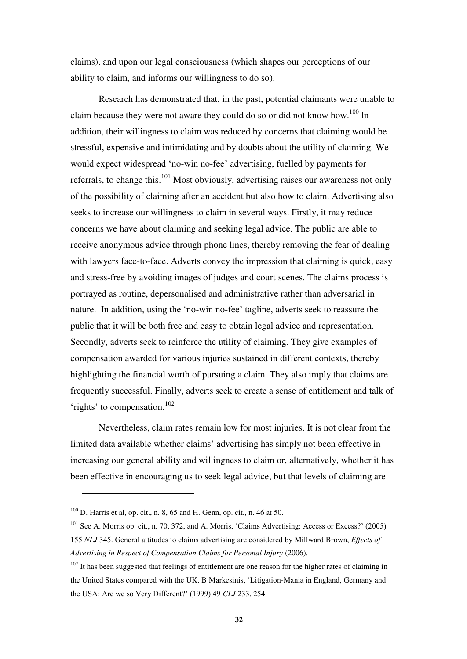claims), and upon our legal consciousness (which shapes our perceptions of our ability to claim, and informs our willingness to do so).

Research has demonstrated that, in the past, potential claimants were unable to claim because they were not aware they could do so or did not know how.<sup>100</sup> In addition, their willingness to claim was reduced by concerns that claiming would be stressful, expensive and intimidating and by doubts about the utility of claiming. We would expect widespread 'no-win no-fee' advertising, fuelled by payments for referrals, to change this.<sup>101</sup> Most obviously, advertising raises our awareness not only of the possibility of claiming after an accident but also how to claim. Advertising also seeks to increase our willingness to claim in several ways. Firstly, it may reduce concerns we have about claiming and seeking legal advice. The public are able to receive anonymous advice through phone lines, thereby removing the fear of dealing with lawyers face-to-face. Adverts convey the impression that claiming is quick, easy and stress-free by avoiding images of judges and court scenes. The claims process is portrayed as routine, depersonalised and administrative rather than adversarial in nature. In addition, using the 'no-win no-fee' tagline, adverts seek to reassure the public that it will be both free and easy to obtain legal advice and representation. Secondly, adverts seek to reinforce the utility of claiming. They give examples of compensation awarded for various injuries sustained in different contexts, thereby highlighting the financial worth of pursuing a claim. They also imply that claims are frequently successful. Finally, adverts seek to create a sense of entitlement and talk of 'rights' to compensation. $^{102}$ 

Nevertheless, claim rates remain low for most injuries. It is not clear from the limited data available whether claims' advertising has simply not been effective in increasing our general ability and willingness to claim or, alternatively, whether it has been effective in encouraging us to seek legal advice, but that levels of claiming are

 $100$  D. Harris et al, op. cit., n. 8, 65 and H. Genn, op. cit., n. 46 at 50.

<sup>&</sup>lt;sup>101</sup> See A. Morris op. cit., n. 70, 372, and A. Morris, 'Claims Advertising: Access or Excess?' (2005) 155 *NLJ* 345. General attitudes to claims advertising are considered by Millward Brown, *Effects of Advertising in Respect of Compensation Claims for Personal Injury* (2006).

 $102$  It has been suggested that feelings of entitlement are one reason for the higher rates of claiming in the United States compared with the UK. B Markesinis, 'Litigation-Mania in England, Germany and the USA: Are we so Very Different?' (1999) 49 *CLJ* 233, 254.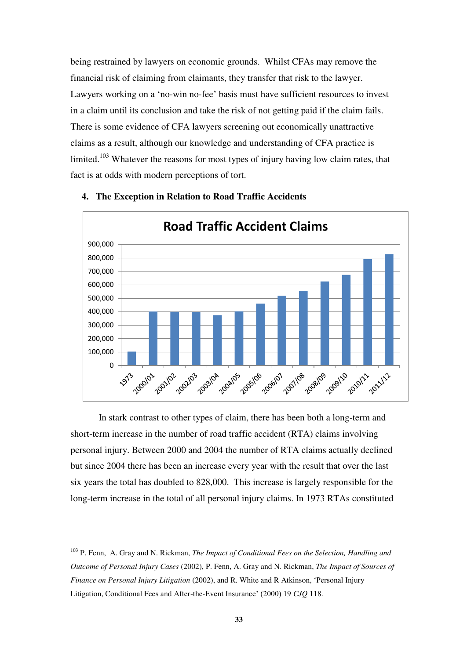being restrained by lawyers on economic grounds. Whilst CFAs may remove the financial risk of claiming from claimants, they transfer that risk to the lawyer. Lawyers working on a 'no-win no-fee' basis must have sufficient resources to invest in a claim until its conclusion and take the risk of not getting paid if the claim fails. There is some evidence of CFA lawyers screening out economically unattractive claims as a result, although our knowledge and understanding of CFA practice is limited.<sup>103</sup> Whatever the reasons for most types of injury having low claim rates, that fact is at odds with modern perceptions of tort.



#### **4. The Exception in Relation to Road Traffic Accidents**

In stark contrast to other types of claim, there has been both a long-term and short-term increase in the number of road traffic accident (RTA) claims involving personal injury. Between 2000 and 2004 the number of RTA claims actually declined but since 2004 there has been an increase every year with the result that over the last six years the total has doubled to 828,000. This increase is largely responsible for the long-term increase in the total of all personal injury claims. In 1973 RTAs constituted

<sup>103</sup> P. Fenn, A. Gray and N. Rickman, *The Impact of Conditional Fees on the Selection, Handling and Outcome of Personal Injury Cases* (2002), P. Fenn, A. Gray and N. Rickman, *The Impact of Sources of Finance on Personal Injury Litigation* (2002), and R. White and R Atkinson, 'Personal Injury Litigation, Conditional Fees and After-the-Event Insurance' (2000) 19 *CJQ* 118.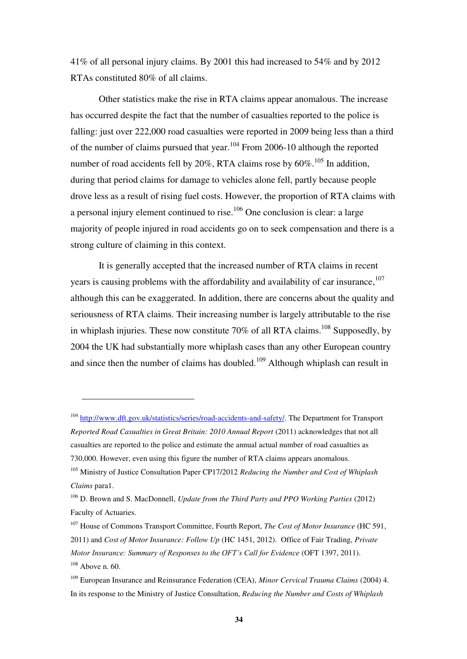41% of all personal injury claims. By 2001 this had increased to 54% and by 2012 RTAs constituted 80% of all claims.

Other statistics make the rise in RTA claims appear anomalous. The increase has occurred despite the fact that the number of casualties reported to the police is falling: just over 222,000 road casualties were reported in 2009 being less than a third of the number of claims pursued that year.<sup>104</sup> From 2006-10 although the reported number of road accidents fell by 20%, RTA claims rose by  $60\%$ .<sup>105</sup> In addition, during that period claims for damage to vehicles alone fell, partly because people drove less as a result of rising fuel costs. However, the proportion of RTA claims with a personal injury element continued to rise.<sup>106</sup> One conclusion is clear: a large majority of people injured in road accidents go on to seek compensation and there is a strong culture of claiming in this context.

It is generally accepted that the increased number of RTA claims in recent years is causing problems with the affordability and availability of car insurance,<sup>107</sup> although this can be exaggerated. In addition, there are concerns about the quality and seriousness of RTA claims. Their increasing number is largely attributable to the rise in whiplash injuries. These now constitute  $70\%$  of all RTA claims.<sup>108</sup> Supposedly, by 2004 the UK had substantially more whiplash cases than any other European country and since then the number of claims has doubled.<sup>109</sup> Although whiplash can result in

<sup>104</sup> [http://www.dft.gov.uk/statistics/series/road-accidents-and-safety/.](http://www.dft.gov.uk/statistics/series/road-accidents-and-safety/) The Department for Transport *Reported Road Casualties in Great Britain: 2010 Annual Report* (2011) acknowledges that not all casualties are reported to the police and estimate the annual actual number of road casualties as 730,000. However, even using this figure the number of RTA claims appears anomalous.

<sup>105</sup> Ministry of Justice Consultation Paper CP17/2012 *Reducing the Number and Cost of Whiplash Claims* para1.

<sup>106</sup> D. Brown and S. MacDonnell, *Update from the Third Party and PPO Working Parties* (2012) Faculty of Actuaries.

<sup>107</sup> House of Commons Transport Committee, Fourth Report, *The Cost of Motor Insurance* (HC 591, 2011) and *Cost of Motor Insurance: Follow Up* (HC 1451, 2012). Office of Fair Trading, *Private Motor Insurance: Summary of Responses to the OFT's Call for Evidence (OFT 1397, 2011).* <sup>108</sup> Above n. 60.

<sup>109</sup> European Insurance and Reinsurance Federation (CEA), *Minor Cervical Trauma Claims* (2004) 4. In its response to the Ministry of Justice Consultation, *Reducing the Number and Costs of Whiplash*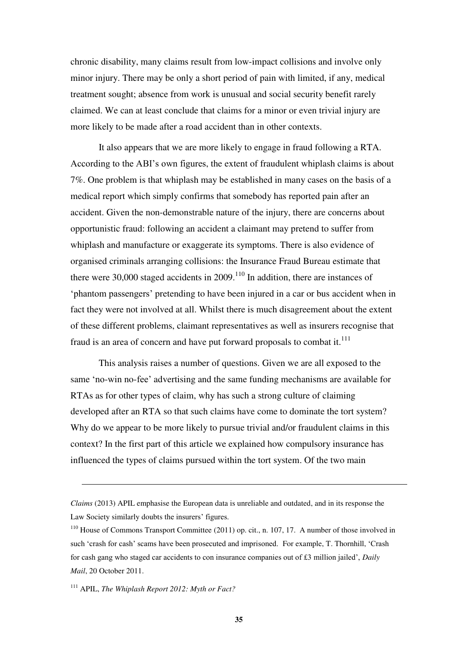chronic disability, many claims result from low-impact collisions and involve only minor injury. There may be only a short period of pain with limited, if any, medical treatment sought; absence from work is unusual and social security benefit rarely claimed. We can at least conclude that claims for a minor or even trivial injury are more likely to be made after a road accident than in other contexts.

It also appears that we are more likely to engage in fraud following a RTA. According to the ABI's own figures, the extent of fraudulent whiplash claims is about 7%. One problem is that whiplash may be established in many cases on the basis of a medical report which simply confirms that somebody has reported pain after an accident. Given the non-demonstrable nature of the injury, there are concerns about opportunistic fraud: following an accident a claimant may pretend to suffer from whiplash and manufacture or exaggerate its symptoms. There is also evidence of organised criminals arranging collisions: the Insurance Fraud Bureau estimate that there were 30,000 staged accidents in  $2009$ .<sup>110</sup> In addition, there are instances of 'phantom passengers' pretending to have been injured in a car or bus accident when in fact they were not involved at all. Whilst there is much disagreement about the extent of these different problems, claimant representatives as well as insurers recognise that fraud is an area of concern and have put forward proposals to combat it.<sup>111</sup>

This analysis raises a number of questions. Given we are all exposed to the same 'no-win no-fee' advertising and the same funding mechanisms are available for RTAs as for other types of claim, why has such a strong culture of claiming developed after an RTA so that such claims have come to dominate the tort system? Why do we appear to be more likely to pursue trivial and/or fraudulent claims in this context? In the first part of this article we explained how compulsory insurance has influenced the types of claims pursued within the tort system. Of the two main

<sup>111</sup> APIL, *The Whiplash Report 2012: Myth or Fact?*

*Claims* (2013) APIL emphasise the European data is unreliable and outdated, and in its response the Law Society similarly doubts the insurers' figures.

<sup>110</sup> House of Commons Transport Committee (2011) op. cit., n. 107, 17. A number of those involved in such 'crash for cash' scams have been prosecuted and imprisoned. For example, T. Thornhill, 'Crash for cash gang who staged car accidents to con insurance companies out of £3 million jailed', *Daily Mail*, 20 October 2011.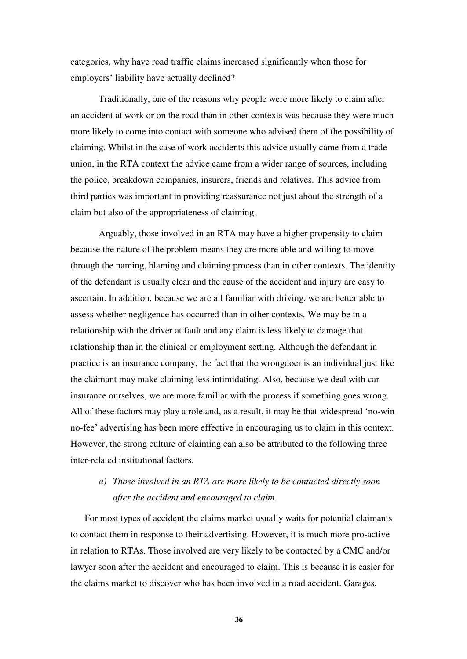categories, why have road traffic claims increased significantly when those for employers' liability have actually declined?

Traditionally, one of the reasons why people were more likely to claim after an accident at work or on the road than in other contexts was because they were much more likely to come into contact with someone who advised them of the possibility of claiming. Whilst in the case of work accidents this advice usually came from a trade union, in the RTA context the advice came from a wider range of sources, including the police, breakdown companies, insurers, friends and relatives. This advice from third parties was important in providing reassurance not just about the strength of a claim but also of the appropriateness of claiming.

Arguably, those involved in an RTA may have a higher propensity to claim because the nature of the problem means they are more able and willing to move through the naming, blaming and claiming process than in other contexts. The identity of the defendant is usually clear and the cause of the accident and injury are easy to ascertain. In addition, because we are all familiar with driving, we are better able to assess whether negligence has occurred than in other contexts. We may be in a relationship with the driver at fault and any claim is less likely to damage that relationship than in the clinical or employment setting. Although the defendant in practice is an insurance company, the fact that the wrongdoer is an individual just like the claimant may make claiming less intimidating. Also, because we deal with car insurance ourselves, we are more familiar with the process if something goes wrong. All of these factors may play a role and, as a result, it may be that widespread 'no-win no-fee' advertising has been more effective in encouraging us to claim in this context. However, the strong culture of claiming can also be attributed to the following three inter-related institutional factors.

### *a) Those involved in an RTA are more likely to be contacted directly soon after the accident and encouraged to claim.*

For most types of accident the claims market usually waits for potential claimants to contact them in response to their advertising. However, it is much more pro-active in relation to RTAs. Those involved are very likely to be contacted by a CMC and/or lawyer soon after the accident and encouraged to claim. This is because it is easier for the claims market to discover who has been involved in a road accident. Garages,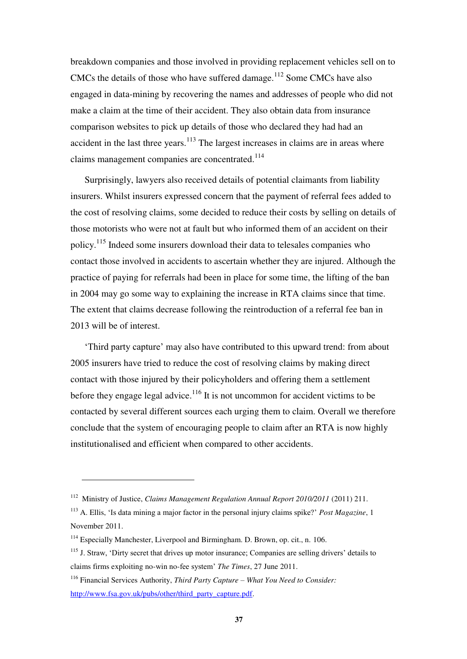breakdown companies and those involved in providing replacement vehicles sell on to CMCs the details of those who have suffered damage.<sup>112</sup> Some CMCs have also engaged in data-mining by recovering the names and addresses of people who did not make a claim at the time of their accident. They also obtain data from insurance comparison websites to pick up details of those who declared they had had an accident in the last three years. $113$  The largest increases in claims are in areas where claims management companies are concentrated.<sup>114</sup>

Surprisingly, lawyers also received details of potential claimants from liability insurers. Whilst insurers expressed concern that the payment of referral fees added to the cost of resolving claims, some decided to reduce their costs by selling on details of those motorists who were not at fault but who informed them of an accident on their policy.<sup>115</sup> Indeed some insurers download their data to telesales companies who contact those involved in accidents to ascertain whether they are injured. Although the practice of paying for referrals had been in place for some time, the lifting of the ban in 2004 may go some way to explaining the increase in RTA claims since that time. The extent that claims decrease following the reintroduction of a referral fee ban in 2013 will be of interest.

'Third party capture' may also have contributed to this upward trend: from about 2005 insurers have tried to reduce the cost of resolving claims by making direct contact with those injured by their policyholders and offering them a settlement before they engage legal advice.<sup>116</sup> It is not uncommon for accident victims to be contacted by several different sources each urging them to claim. Overall we therefore conclude that the system of encouraging people to claim after an RTA is now highly institutionalised and efficient when compared to other accidents.

<sup>&</sup>lt;sup>112</sup> Ministry of Justice, *Claims Management Regulation Annual Report 2010/2011* (2011) 211.

<sup>113</sup> A. Ellis, 'Is data mining a major factor in the personal injury claims spike?' *Post Magazine*, 1 November 2011.

<sup>&</sup>lt;sup>114</sup> Especially Manchester, Liverpool and Birmingham. D. Brown, op. cit., n. 106.

<sup>&</sup>lt;sup>115</sup> J. Straw, 'Dirty secret that drives up motor insurance; Companies are selling drivers' details to claims firms exploiting no-win no-fee system' *The Times*, 27 June 2011.

<sup>116</sup> Financial Services Authority, *Third Party Capture – What You Need to Consider:*  [http://www.fsa.gov.uk/pubs/other/third\\_party\\_capture.pdf.](http://www.fsa.gov.uk/pubs/other/third_party_capture.pdf)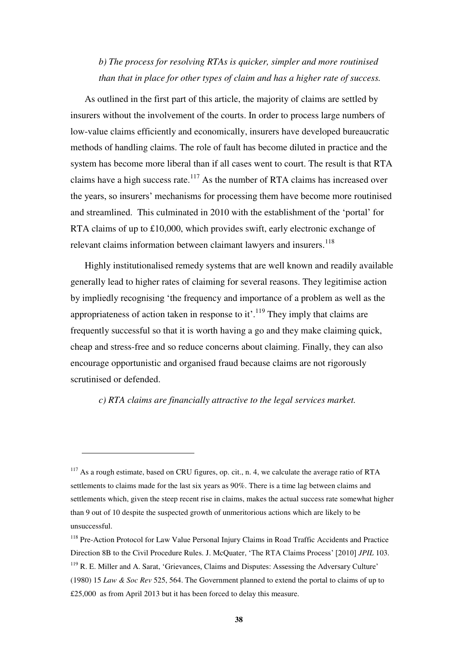## *b) The process for resolving RTAs is quicker, simpler and more routinised than that in place for other types of claim and has a higher rate of success.*

As outlined in the first part of this article, the majority of claims are settled by insurers without the involvement of the courts. In order to process large numbers of low-value claims efficiently and economically, insurers have developed bureaucratic methods of handling claims. The role of fault has become diluted in practice and the system has become more liberal than if all cases went to court. The result is that RTA claims have a high success rate.<sup>117</sup> As the number of RTA claims has increased over the years, so insurers' mechanisms for processing them have become more routinised and streamlined. This culminated in 2010 with the establishment of the 'portal' for RTA claims of up to £10,000, which provides swift, early electronic exchange of relevant claims information between claimant lawyers and insurers.<sup>118</sup>

Highly institutionalised remedy systems that are well known and readily available generally lead to higher rates of claiming for several reasons. They legitimise action by impliedly recognising 'the frequency and importance of a problem as well as the appropriateness of action taken in response to it'.<sup>119</sup> They imply that claims are frequently successful so that it is worth having a go and they make claiming quick, cheap and stress-free and so reduce concerns about claiming. Finally, they can also encourage opportunistic and organised fraud because claims are not rigorously scrutinised or defended.

#### *c) RTA claims are financially attractive to the legal services market.*

 $117$  As a rough estimate, based on CRU figures, op. cit., n. 4, we calculate the average ratio of RTA settlements to claims made for the last six years as 90%. There is a time lag between claims and settlements which, given the steep recent rise in claims, makes the actual success rate somewhat higher than 9 out of 10 despite the suspected growth of unmeritorious actions which are likely to be unsuccessful.

<sup>&</sup>lt;sup>118</sup> Pre-Action Protocol for Law Value Personal Injury Claims in Road Traffic Accidents and Practice Direction 8B to the Civil Procedure Rules. J. McQuater, 'The RTA Claims Process' [2010] *JPIL* 103. <sup>119</sup> R. E. Miller and A. Sarat, 'Grievances, Claims and Disputes: Assessing the Adversary Culture' (1980) 15 *Law & Soc Rev* 525, 564. The Government planned to extend the portal to claims of up to £25,000 as from April 2013 but it has been forced to delay this measure.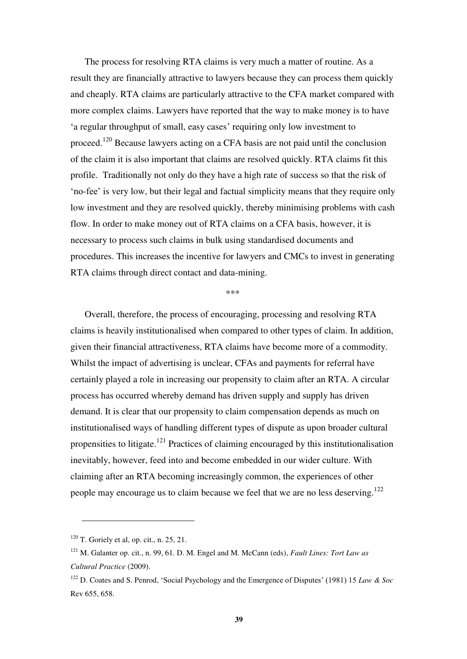The process for resolving RTA claims is very much a matter of routine. As a result they are financially attractive to lawyers because they can process them quickly and cheaply. RTA claims are particularly attractive to the CFA market compared with more complex claims. Lawyers have reported that the way to make money is to have 'a regular throughput of small, easy cases' requiring only low investment to proceed.<sup>120</sup> Because lawyers acting on a CFA basis are not paid until the conclusion of the claim it is also important that claims are resolved quickly. RTA claims fit this profile. Traditionally not only do they have a high rate of success so that the risk of 'no-fee' is very low, but their legal and factual simplicity means that they require only low investment and they are resolved quickly, thereby minimising problems with cash flow. In order to make money out of RTA claims on a CFA basis, however, it is necessary to process such claims in bulk using standardised documents and procedures. This increases the incentive for lawyers and CMCs to invest in generating RTA claims through direct contact and data-mining.

#### \*\*\*

Overall, therefore, the process of encouraging, processing and resolving RTA claims is heavily institutionalised when compared to other types of claim. In addition, given their financial attractiveness, RTA claims have become more of a commodity. Whilst the impact of advertising is unclear, CFAs and payments for referral have certainly played a role in increasing our propensity to claim after an RTA. A circular process has occurred whereby demand has driven supply and supply has driven demand. It is clear that our propensity to claim compensation depends as much on institutionalised ways of handling different types of dispute as upon broader cultural propensities to litigate.<sup>121</sup> Practices of claiming encouraged by this institutionalisation inevitably, however, feed into and become embedded in our wider culture. With claiming after an RTA becoming increasingly common, the experiences of other people may encourage us to claim because we feel that we are no less deserving.<sup>122</sup>

 $120$  T. Goriely et al, op. cit., n. 25, 21.

<sup>121</sup> M. Galanter op. cit., n. 99, 61. D. M. Engel and M. McCann (eds), *Fault Lines: Tort Law as Cultural Practice* (2009).

<sup>122</sup> D. Coates and S. Penrod, 'Social Psychology and the Emergence of Disputes' (1981) 15 *Law & Soc* Rev 655, 658.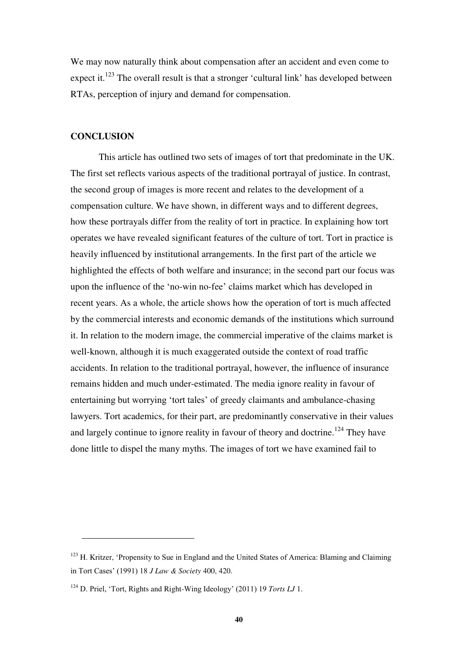We may now naturally think about compensation after an accident and even come to expect it.<sup>123</sup> The overall result is that a stronger 'cultural link' has developed between RTAs, perception of injury and demand for compensation.

#### **CONCLUSION**

 $\overline{a}$ 

This article has outlined two sets of images of tort that predominate in the UK. The first set reflects various aspects of the traditional portrayal of justice. In contrast, the second group of images is more recent and relates to the development of a compensation culture. We have shown, in different ways and to different degrees, how these portrayals differ from the reality of tort in practice. In explaining how tort operates we have revealed significant features of the culture of tort. Tort in practice is heavily influenced by institutional arrangements. In the first part of the article we highlighted the effects of both welfare and insurance; in the second part our focus was upon the influence of the 'no-win no-fee' claims market which has developed in recent years. As a whole, the article shows how the operation of tort is much affected by the commercial interests and economic demands of the institutions which surround it. In relation to the modern image, the commercial imperative of the claims market is well-known, although it is much exaggerated outside the context of road traffic accidents. In relation to the traditional portrayal, however, the influence of insurance remains hidden and much under-estimated. The media ignore reality in favour of entertaining but worrying 'tort tales' of greedy claimants and ambulance-chasing lawyers. Tort academics, for their part, are predominantly conservative in their values and largely continue to ignore reality in favour of theory and doctrine.<sup>124</sup> They have done little to dispel the many myths. The images of tort we have examined fail to

<sup>&</sup>lt;sup>123</sup> H. Kritzer, 'Propensity to Sue in England and the United States of America: Blaming and Claiming in Tort Cases' (1991) 18 *J Law & Society* 400, 420.

<sup>124</sup> D. Priel, 'Tort, Rights and Right-Wing Ideology' (2011) 19 *Torts LJ* 1.